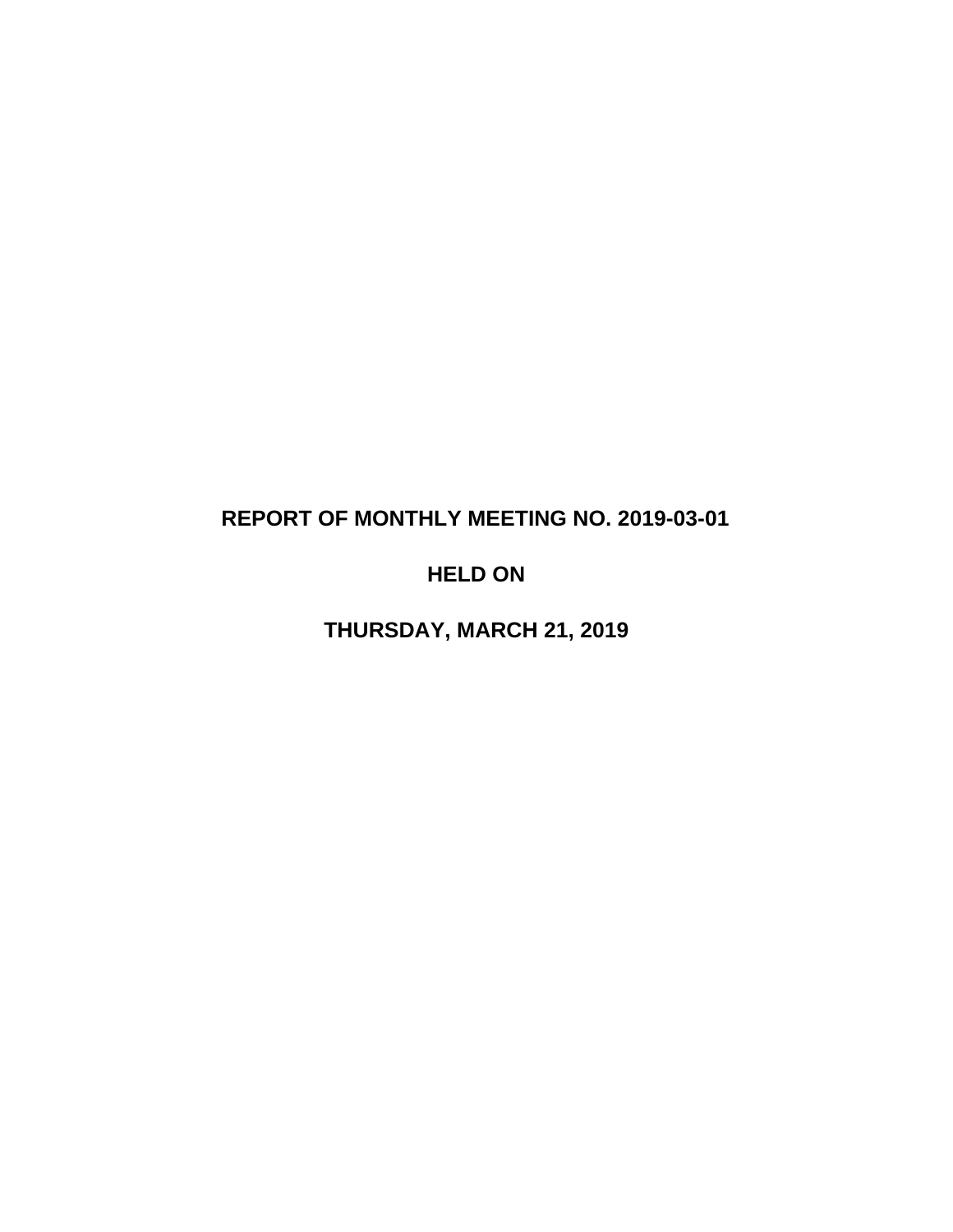# **REPORT OF MONTHLY MEETING NO. 2019-03-01**

# **HELD ON**

**THURSDAY, MARCH 21, 2019**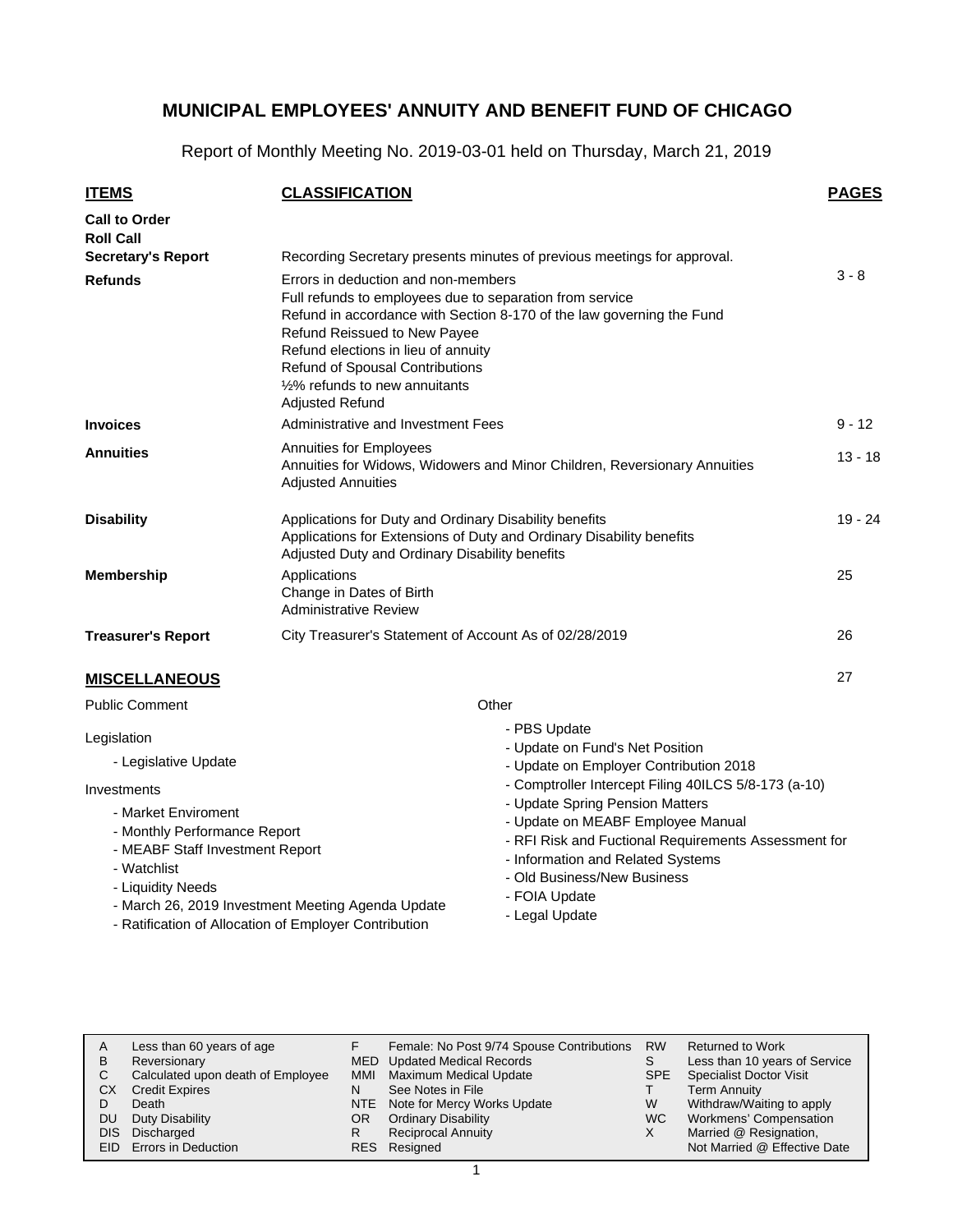Report of Monthly Meeting No. 2019-03-01 held on Thursday, March 21, 2019

| <b>ITEMS</b>                             | <b>CLASSIFICATION</b>                                                                                                                                                                                                             |                                                                                                | <b>PAGES</b> |  |  |  |  |  |
|------------------------------------------|-----------------------------------------------------------------------------------------------------------------------------------------------------------------------------------------------------------------------------------|------------------------------------------------------------------------------------------------|--------------|--|--|--|--|--|
| <b>Call to Order</b><br><b>Roll Call</b> |                                                                                                                                                                                                                                   |                                                                                                |              |  |  |  |  |  |
| <b>Secretary's Report</b>                |                                                                                                                                                                                                                                   | Recording Secretary presents minutes of previous meetings for approval.                        |              |  |  |  |  |  |
| <b>Refunds</b>                           | Errors in deduction and non-members                                                                                                                                                                                               |                                                                                                | $3 - 8$      |  |  |  |  |  |
|                                          | Full refunds to employees due to separation from service<br>Refund Reissued to New Payee<br>Refund elections in lieu of annuity<br>Refund of Spousal Contributions<br>$1/2\%$ refunds to new annuitants<br><b>Adjusted Refund</b> | Refund in accordance with Section 8-170 of the law governing the Fund                          |              |  |  |  |  |  |
| <b>Invoices</b>                          | <b>Administrative and Investment Fees</b>                                                                                                                                                                                         |                                                                                                | $9 - 12$     |  |  |  |  |  |
| <b>Annuities</b>                         | Annuities for Employees<br>Annuities for Widows, Widowers and Minor Children, Reversionary Annuities<br><b>Adjusted Annuities</b>                                                                                                 |                                                                                                |              |  |  |  |  |  |
| <b>Disability</b>                        | Applications for Duty and Ordinary Disability benefits<br>Applications for Extensions of Duty and Ordinary Disability benefits<br>Adjusted Duty and Ordinary Disability benefits                                                  |                                                                                                |              |  |  |  |  |  |
| <b>Membership</b>                        | Applications<br>Change in Dates of Birth<br><b>Administrative Review</b>                                                                                                                                                          |                                                                                                |              |  |  |  |  |  |
| <b>Treasurer's Report</b>                | City Treasurer's Statement of Account As of 02/28/2019                                                                                                                                                                            |                                                                                                | 26           |  |  |  |  |  |
| <b>MISCELLANEOUS</b>                     |                                                                                                                                                                                                                                   |                                                                                                | 27           |  |  |  |  |  |
| <b>Public Comment</b>                    |                                                                                                                                                                                                                                   | Other                                                                                          |              |  |  |  |  |  |
| Legislation                              |                                                                                                                                                                                                                                   | - PBS Update                                                                                   |              |  |  |  |  |  |
| - Legislative Update                     |                                                                                                                                                                                                                                   | - Update on Fund's Net Position                                                                |              |  |  |  |  |  |
|                                          |                                                                                                                                                                                                                                   | - Update on Employer Contribution 2018<br>- Comptroller Intercept Filing 40ILCS 5/8-173 (a-10) |              |  |  |  |  |  |
| Investments<br>- Market Enviroment       |                                                                                                                                                                                                                                   | - Update Spring Pension Matters                                                                |              |  |  |  |  |  |
| - Monthly Performance Report             |                                                                                                                                                                                                                                   | - Update on MEABF Employee Manual                                                              |              |  |  |  |  |  |
| - MEABF Staff Investment Report          |                                                                                                                                                                                                                                   | - RFI Risk and Fuctional Requirements Assessment for                                           |              |  |  |  |  |  |
| - Watchlist                              |                                                                                                                                                                                                                                   | - Information and Related Systems<br>- Old Business/New Business                               |              |  |  |  |  |  |
| - Liquidity Needs                        |                                                                                                                                                                                                                                   | - FOIA Update                                                                                  |              |  |  |  |  |  |
|                                          | - March 26, 2019 Investment Meeting Agenda Update<br>Detification of Allegation of Employer Contribution                                                                                                                          | - Legal Update                                                                                 |              |  |  |  |  |  |

- Ratification of Allocation of Employer Contribution

|      | Less than 60 years of age         |     | Female: No Post 9/74 Spouse Contributions | <b>RW</b>  | <b>Returned to Work</b>        |
|------|-----------------------------------|-----|-------------------------------------------|------------|--------------------------------|
| B    | Reversionary                      |     | MED Updated Medical Records               |            | Less than 10 years of Service  |
|      | Calculated upon death of Employee | MMI | <b>Maximum Medical Update</b>             | <b>SPE</b> | <b>Specialist Doctor Visit</b> |
| СX   | <b>Credit Expires</b>             | N   | See Notes in File                         |            | <b>Term Annuity</b>            |
|      | Death                             |     | NTE Note for Mercy Works Update           | W          | Withdraw/Waiting to apply      |
| DU   | Duty Disability                   | OR. | <b>Ordinary Disability</b>                | WC.        | Workmens' Compensation         |
| DIS. | Discharged                        | R   | <b>Reciprocal Annuity</b>                 | X          | Married @ Resignation,         |
|      | EID Errors in Deduction           |     | RES Resigned                              |            | Not Married @ Effective Date   |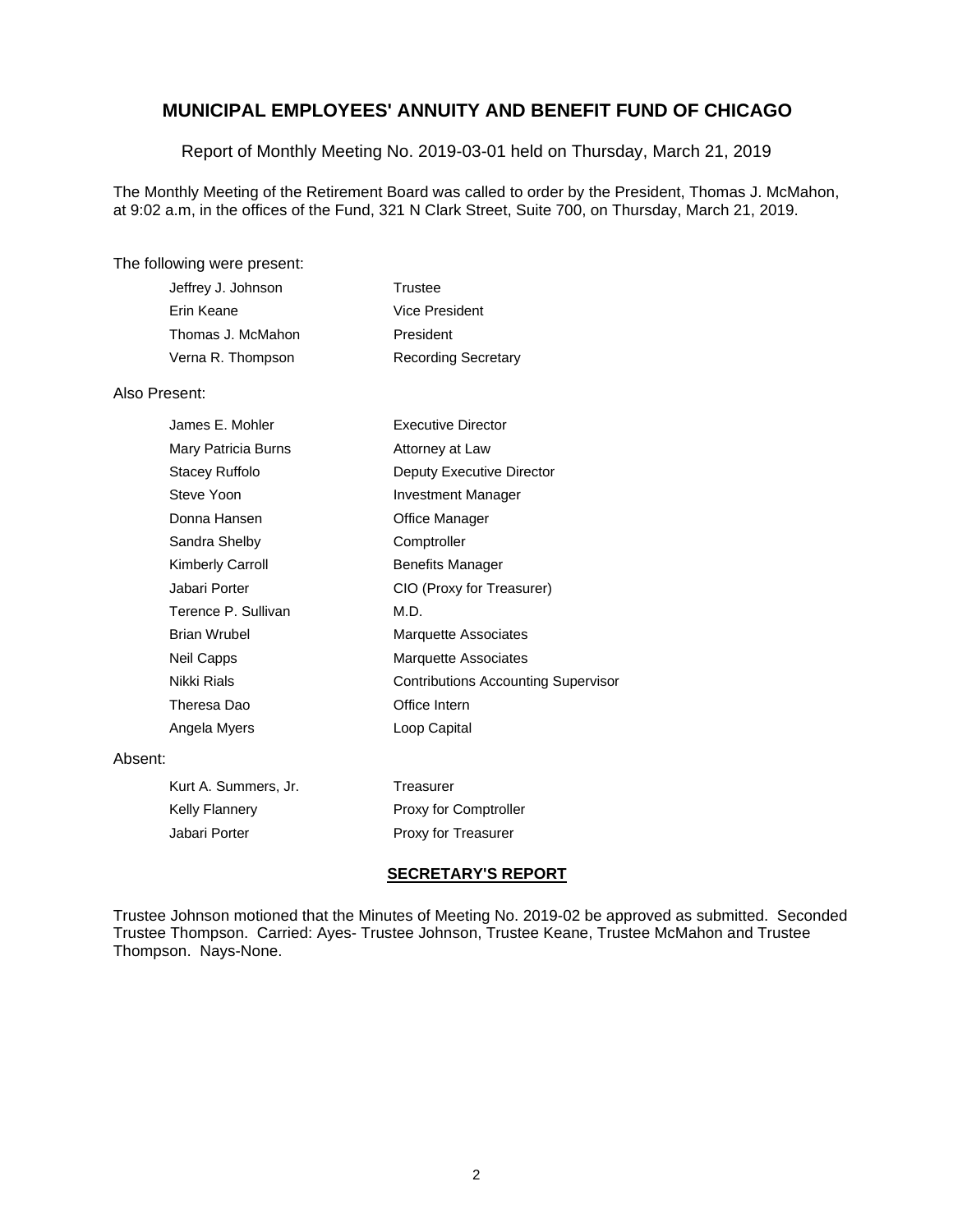Report of Monthly Meeting No. 2019-03-01 held on Thursday, March 21, 2019

The Monthly Meeting of the Retirement Board was called to order by the President, Thomas J. McMahon, at 9:02 a.m, in the offices of the Fund, 321 N Clark Street, Suite 700, on Thursday, March 21, 2019.

#### The following were present:

| Jeffrey J. Johnson | Trustee                    |
|--------------------|----------------------------|
| Erin Keane         | Vice President             |
| Thomas J. McMahon  | President                  |
| Verna R. Thompson  | <b>Recording Secretary</b> |

### Also Present:

| James E. Mohler     | <b>Executive Director</b>                  |
|---------------------|--------------------------------------------|
| Mary Patricia Burns | Attorney at Law                            |
| Stacey Ruffolo      | Deputy Executive Director                  |
| Steve Yoon          | Investment Manager                         |
| Donna Hansen        | Office Manager                             |
| Sandra Shelby       | Comptroller                                |
| Kimberly Carroll    | <b>Benefits Manager</b>                    |
| Jabari Porter       | CIO (Proxy for Treasurer)                  |
| Terence P. Sullivan | M.D.                                       |
| <b>Brian Wrubel</b> | <b>Marquette Associates</b>                |
| Neil Capps          | Marquette Associates                       |
| Nikki Rials         | <b>Contributions Accounting Supervisor</b> |
| Theresa Dao         | Office Intern                              |
| Angela Myers        | Loop Capital                               |

#### Absent:

| Kurt A. Summers, Jr. | Treasurer                    |
|----------------------|------------------------------|
| Kelly Flannery       | <b>Proxy for Comptroller</b> |
| Jabari Porter        | Proxy for Treasurer          |

#### **SECRETARY'S REPORT**

Trustee Johnson motioned that the Minutes of Meeting No. 2019-02 be approved as submitted. Seconded Trustee Thompson. Carried: Ayes- Trustee Johnson, Trustee Keane, Trustee McMahon and Trustee Thompson. Nays-None.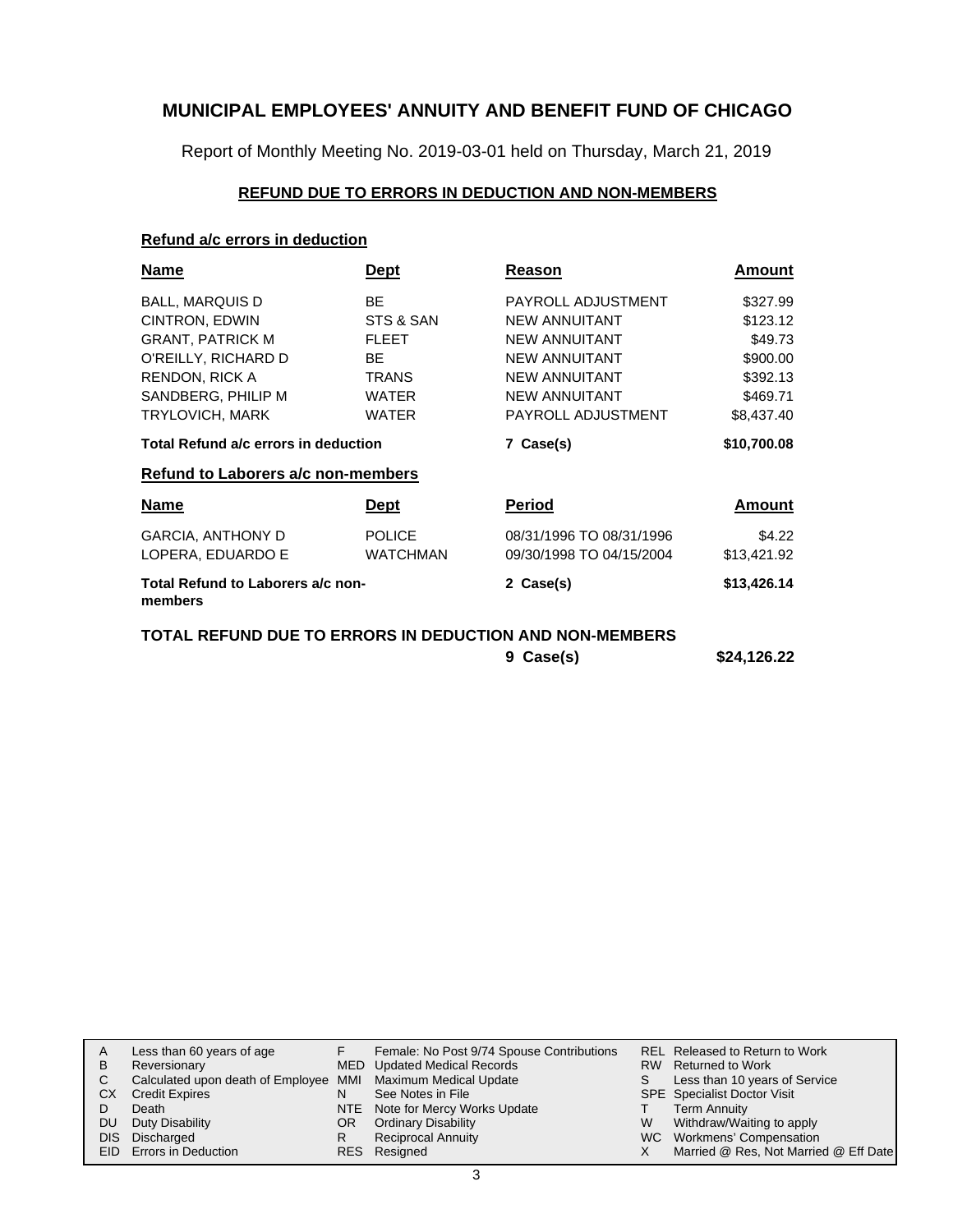Report of Monthly Meeting No. 2019-03-01 held on Thursday, March 21, 2019

### **REFUND DUE TO ERRORS IN DEDUCTION AND NON-MEMBERS**

### **Refund a/c errors in deduction**

| Name                                         | Dept            | Reason                                                  | Amount      |
|----------------------------------------------|-----------------|---------------------------------------------------------|-------------|
| <b>BALL, MARQUIS D</b>                       | <b>BE</b>       | PAYROLL ADJUSTMENT                                      | \$327.99    |
| CINTRON, EDWIN                               | STS & SAN       | <b>NEW ANNUITANT</b>                                    | \$123.12    |
| <b>GRANT, PATRICK M</b>                      | <b>FLEET</b>    | <b>NEW ANNUITANT</b>                                    | \$49.73     |
| O'REILLY, RICHARD D                          | BE.             | <b>NEW ANNUITANT</b>                                    | \$900.00    |
| <b>RENDON, RICK A</b>                        | <b>TRANS</b>    | <b>NEW ANNUITANT</b>                                    | \$392.13    |
| SANDBERG, PHILIP M                           | <b>WATER</b>    | <b>NEW ANNUITANT</b>                                    | \$469.71    |
| TRYLOVICH, MARK                              | <b>WATER</b>    | PAYROLL ADJUSTMENT                                      | \$8,437.40  |
| Total Refund a/c errors in deduction         |                 | 7 Case(s)                                               | \$10,700.08 |
| Refund to Laborers a/c non-members           |                 |                                                         |             |
| Name                                         | <b>Dept</b>     | Period                                                  | Amount      |
| <b>GARCIA, ANTHONY D</b>                     | <b>POLICE</b>   | 08/31/1996 TO 08/31/1996                                | \$4.22      |
| LOPERA, EDUARDO E                            | <b>WATCHMAN</b> | 09/30/1998 TO 04/15/2004                                | \$13,421.92 |
| Total Refund to Laborers a/c non-<br>members |                 | 2 Case(s)                                               | \$13,426.14 |
|                                              |                 | TOTAL REFUND DUE TO ERRORS IN DEDUCTION AND NON-MEMBERS |             |

| 9 Case(s) | \$24,126.22 |
|-----------|-------------|
|           |             |

| A  | Less than 60 years of age                                    |    | Female: No Post 9/74 Spouse Contributions |   | <b>REL Released to Return to Work</b> |
|----|--------------------------------------------------------------|----|-------------------------------------------|---|---------------------------------------|
| В  | Reversionary                                                 |    | MED Updated Medical Records               |   | RW Returned to Work                   |
|    | Calculated upon death of Employee MMI Maximum Medical Update |    |                                           |   | Less than 10 years of Service         |
| СX | <b>Credit Expires</b>                                        | N  | See Notes in File                         |   | <b>SPE</b> Specialist Doctor Visit    |
|    | Death                                                        |    | NTE Note for Mercy Works Update           |   | Term Annuity                          |
| DU | Duty Disability                                              | OR | <b>Ordinary Disability</b>                | W | Withdraw/Waiting to apply             |
|    | DIS Discharged                                               | R  | <b>Reciprocal Annuity</b>                 |   | WC Workmens' Compensation             |
|    | EID Errors in Deduction                                      |    | RES Resigned                              |   | Married @ Res, Not Married @ Eff Date |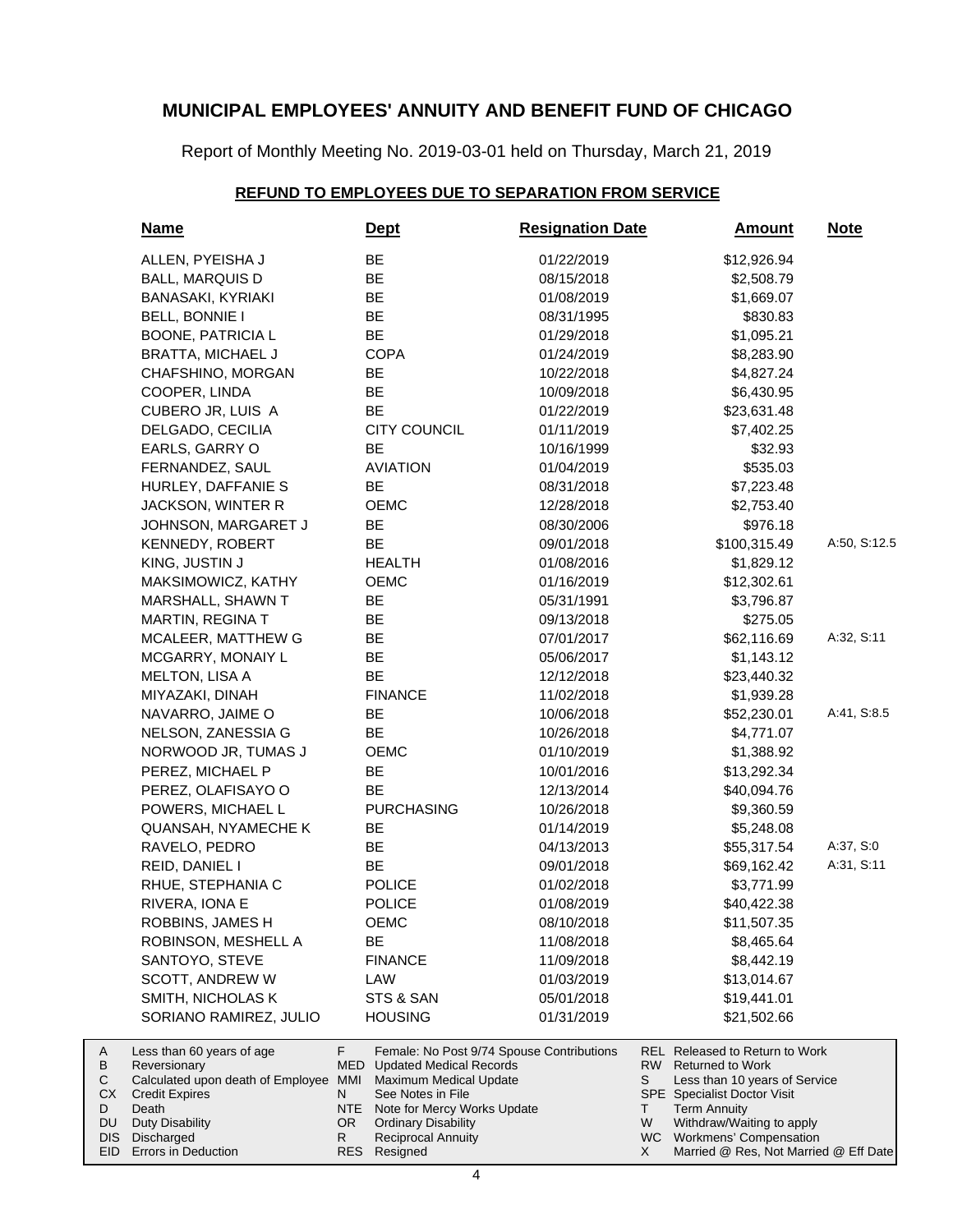Report of Monthly Meeting No. 2019-03-01 held on Thursday, March 21, 2019

### **REFUND TO EMPLOYEES DUE TO SEPARATION FROM SERVICE**

| <b>Name</b>                               |                  | <u>Dept</u>                                                                 | <b>Resignation Date</b> |    | <u>Amount</u>                                                    | <b>Note</b>  |
|-------------------------------------------|------------------|-----------------------------------------------------------------------------|-------------------------|----|------------------------------------------------------------------|--------------|
| ALLEN, PYEISHA J                          |                  | BE                                                                          | 01/22/2019              |    | \$12,926.94                                                      |              |
| <b>BALL, MARQUIS D</b>                    |                  | BE                                                                          | 08/15/2018              |    | \$2,508.79                                                       |              |
| BANASAKI, KYRIAKI                         |                  | BE                                                                          | 01/08/2019              |    | \$1,669.07                                                       |              |
| BELL, BONNIE I                            |                  | BE                                                                          | 08/31/1995              |    | \$830.83                                                         |              |
| <b>BOONE, PATRICIA L</b>                  |                  | BE                                                                          | 01/29/2018              |    | \$1,095.21                                                       |              |
| <b>BRATTA, MICHAEL J</b>                  |                  | <b>COPA</b>                                                                 | 01/24/2019              |    | \$8,283.90                                                       |              |
| CHAFSHINO, MORGAN                         |                  | BE                                                                          | 10/22/2018              |    | \$4,827.24                                                       |              |
| COOPER, LINDA                             |                  | <b>BE</b>                                                                   | 10/09/2018              |    | \$6,430.95                                                       |              |
| CUBERO JR, LUIS A                         |                  | BE                                                                          | 01/22/2019              |    | \$23,631.48                                                      |              |
| DELGADO, CECILIA                          |                  | <b>CITY COUNCIL</b>                                                         | 01/11/2019              |    | \$7,402.25                                                       |              |
| EARLS, GARRY O                            |                  | BE                                                                          | 10/16/1999              |    | \$32.93                                                          |              |
| FERNANDEZ, SAUL                           |                  | <b>AVIATION</b>                                                             | 01/04/2019              |    | \$535.03                                                         |              |
| HURLEY, DAFFANIE S                        |                  | BE                                                                          | 08/31/2018              |    | \$7,223.48                                                       |              |
| JACKSON, WINTER R                         |                  | <b>OEMC</b>                                                                 | 12/28/2018              |    | \$2,753.40                                                       |              |
| JOHNSON, MARGARET J                       |                  | BE                                                                          | 08/30/2006              |    | \$976.18                                                         |              |
| KENNEDY, ROBERT                           |                  | BE                                                                          | 09/01/2018              |    | \$100,315.49                                                     | A:50, S:12.5 |
| KING, JUSTIN J                            |                  | <b>HEALTH</b>                                                               | 01/08/2016              |    | \$1,829.12                                                       |              |
| MAKSIMOWICZ, KATHY                        |                  | <b>OEMC</b>                                                                 | 01/16/2019              |    | \$12,302.61                                                      |              |
| MARSHALL, SHAWN T                         |                  | BE                                                                          | 05/31/1991              |    | \$3,796.87                                                       |              |
| MARTIN, REGINA T                          |                  | BE                                                                          | 09/13/2018              |    | \$275.05                                                         |              |
| MCALEER, MATTHEW G                        |                  | BE                                                                          | 07/01/2017              |    | \$62,116.69                                                      | A:32, S:11   |
| MCGARRY, MONAIY L                         |                  | BE                                                                          | 05/06/2017              |    | \$1,143.12                                                       |              |
| MELTON, LISA A                            |                  | BE                                                                          | 12/12/2018              |    | \$23,440.32                                                      |              |
| MIYAZAKI, DINAH                           |                  | <b>FINANCE</b>                                                              | 11/02/2018              |    | \$1,939.28                                                       |              |
| NAVARRO, JAIME O                          |                  | BE                                                                          | 10/06/2018              |    | \$52,230.01                                                      | A:41, S:8.5  |
| NELSON, ZANESSIA G                        |                  | BE                                                                          | 10/26/2018              |    | \$4,771.07                                                       |              |
| NORWOOD JR, TUMAS J                       |                  | OEMC                                                                        | 01/10/2019              |    | \$1,388.92                                                       |              |
| PEREZ, MICHAEL P                          |                  | BE                                                                          | 10/01/2016              |    | \$13,292.34                                                      |              |
| PEREZ, OLAFISAYO O                        |                  | BE                                                                          | 12/13/2014              |    | \$40,094.76                                                      |              |
| POWERS, MICHAEL L                         |                  | <b>PURCHASING</b>                                                           | 10/26/2018              |    | \$9,360.59                                                       |              |
| <b>QUANSAH, NYAMECHE K</b>                |                  | BE                                                                          | 01/14/2019              |    | \$5,248.08                                                       |              |
| RAVELO, PEDRO                             |                  | BE                                                                          | 04/13/2013              |    | \$55,317.54                                                      | A:37, S:0    |
| REID, DANIEL I                            |                  | BE                                                                          | 09/01/2018              |    | \$69,162.42                                                      | A:31, S:11   |
| RHUE, STEPHANIA C                         |                  | <b>POLICE</b>                                                               | 01/02/2018              |    | \$3,771.99                                                       |              |
| RIVERA, IONA E                            |                  | <b>POLICE</b>                                                               | 01/08/2019              |    | \$40,422.38                                                      |              |
| ROBBINS, JAMES H                          |                  | OEMC                                                                        | 08/10/2018              |    | \$11,507.35                                                      |              |
| ROBINSON, MESHELL A                       |                  | <b>BE</b>                                                                   | 11/08/2018              |    | \$8,465.64                                                       |              |
| SANTOYO, STEVE                            |                  | <b>FINANCE</b>                                                              | 11/09/2018              |    | \$8,442.19                                                       |              |
| SCOTT, ANDREW W                           |                  | LAW                                                                         | 01/03/2019              |    | \$13,014.67                                                      |              |
| SMITH, NICHOLAS K                         |                  | STS & SAN                                                                   | 05/01/2018              |    | \$19,441.01                                                      |              |
| SORIANO RAMIREZ, JULIO                    |                  | <b>HOUSING</b>                                                              | 01/31/2019              |    | \$21,502.66                                                      |              |
|                                           |                  |                                                                             |                         |    |                                                                  |              |
| Less than 60 years of age<br>Reversionary | F.<br><b>MED</b> | Female: No Post 9/74 Spouse Contributions<br><b>Updated Medical Records</b> |                         | RW | <b>REL Released to Return to Work</b><br><b>Returned to Work</b> |              |
| Calculated upon death of Employee         | MMI              | Maximum Medical Update                                                      |                         | S  | Less than 10 years of Service                                    |              |
| <b>Credit Expires</b>                     | N                | See Notes in File                                                           |                         |    | <b>SPE</b> Specialist Doctor Visit                               |              |
| Death                                     | <b>NTE</b>       | Note for Mercy Works Update                                                 |                         | Τ  | <b>Term Annuity</b>                                              |              |
| <b>Duty Disability</b><br>Discharged      | OR.<br>R         | <b>Ordinary Disability</b><br><b>Reciprocal Annuity</b>                     |                         | W  | Withdraw/Waiting to apply<br>WC Workmens' Compensation           |              |
| Errors in Deduction                       |                  | RES Resigned                                                                |                         | X  | Married @ Res, Not Married @ Eff Date                            |              |

A B C CX D DU DIS EID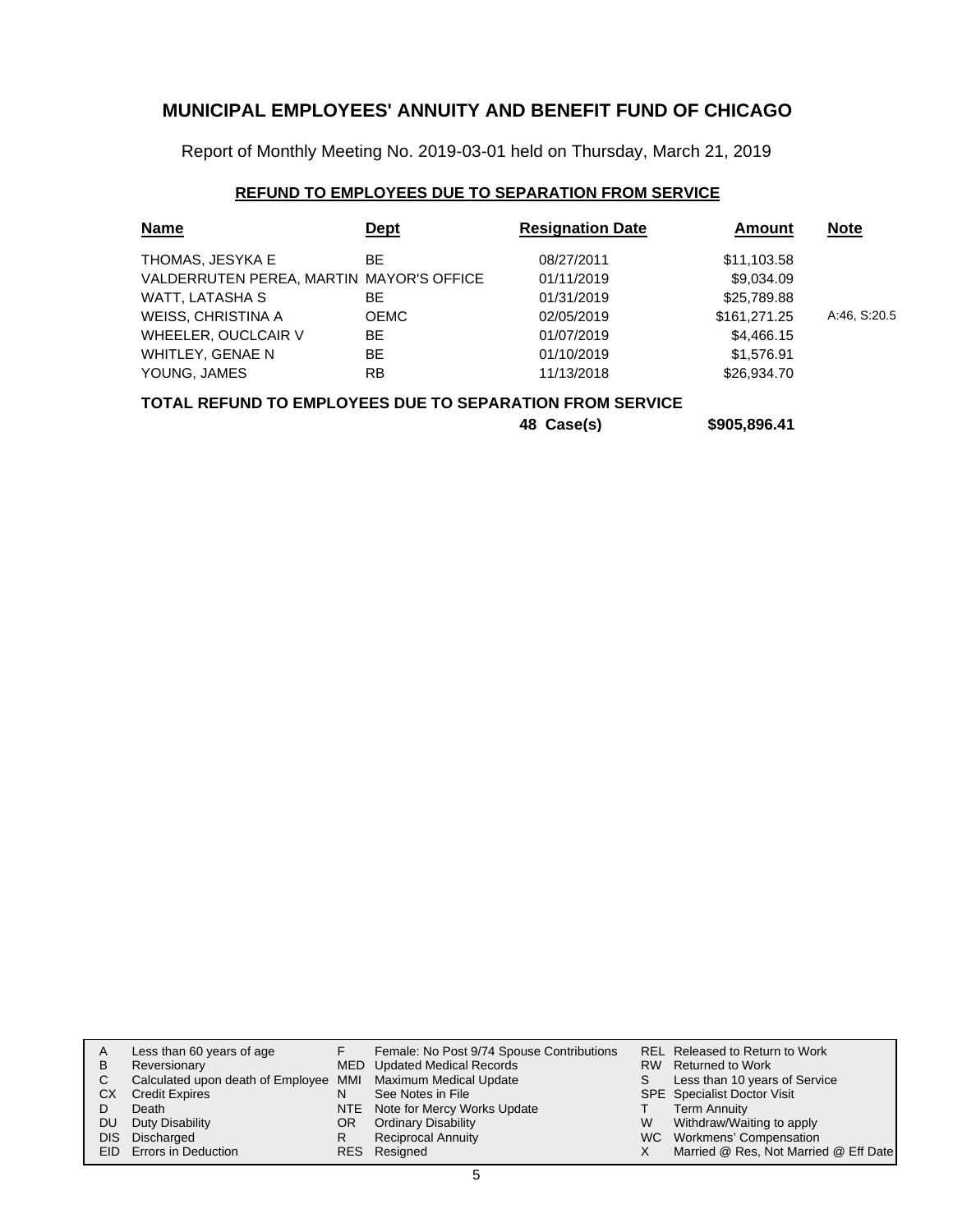Report of Monthly Meeting No. 2019-03-01 held on Thursday, March 21, 2019

### **REFUND TO EMPLOYEES DUE TO SEPARATION FROM SERVICE**

| <b>Name</b>                              | <u>Dept</u> | <b>Resignation Date</b> | Amount       | <b>Note</b>  |
|------------------------------------------|-------------|-------------------------|--------------|--------------|
| THOMAS, JESYKA E                         | BE.         | 08/27/2011              | \$11,103.58  |              |
| VALDERRUTEN PEREA, MARTIN MAYOR'S OFFICE |             | 01/11/2019              | \$9,034.09   |              |
| WATT, LATASHA S                          | ВE          | 01/31/2019              | \$25,789.88  |              |
| WEISS, CHRISTINA A                       | <b>OEMC</b> | 02/05/2019              | \$161,271.25 | A:46, S:20.5 |
| WHEELER, OUCLCAIR V                      | BE          | 01/07/2019              | \$4,466.15   |              |
| WHITLEY, GENAE N                         | BE.         | 01/10/2019              | \$1,576.91   |              |
| YOUNG, JAMES                             | <b>RB</b>   | 11/13/2018              | \$26,934.70  |              |

### **TOTAL REFUND TO EMPLOYEES DUE TO SEPARATION FROM SERVICE**

**48 Case(s) \$905,896.41**

| A   | Less than 60 years of age                                    |    | Female: No Post 9/74 Spouse Contributions |   | REL Released to Return to Work        |
|-----|--------------------------------------------------------------|----|-------------------------------------------|---|---------------------------------------|
| В   | Reversionary                                                 |    | MED Updated Medical Records               |   | RW Returned to Work                   |
|     | Calculated upon death of Employee MMI Maximum Medical Update |    |                                           |   | Less than 10 years of Service         |
| CХ  | <b>Credit Expires</b>                                        | N  | See Notes in File                         |   | <b>SPE</b> Specialist Doctor Visit    |
|     | Death                                                        |    | NTE Note for Mercy Works Update           |   | <b>Term Annuity</b>                   |
| DU. | Duty Disability                                              | OR | <b>Ordinary Disability</b>                | W | Withdraw/Waiting to apply             |
|     | DIS Discharged                                               | R  | <b>Reciprocal Annuity</b>                 |   | WC Workmens' Compensation             |
|     | EID Errors in Deduction                                      |    | RES Resigned                              |   | Married @ Res, Not Married @ Eff Date |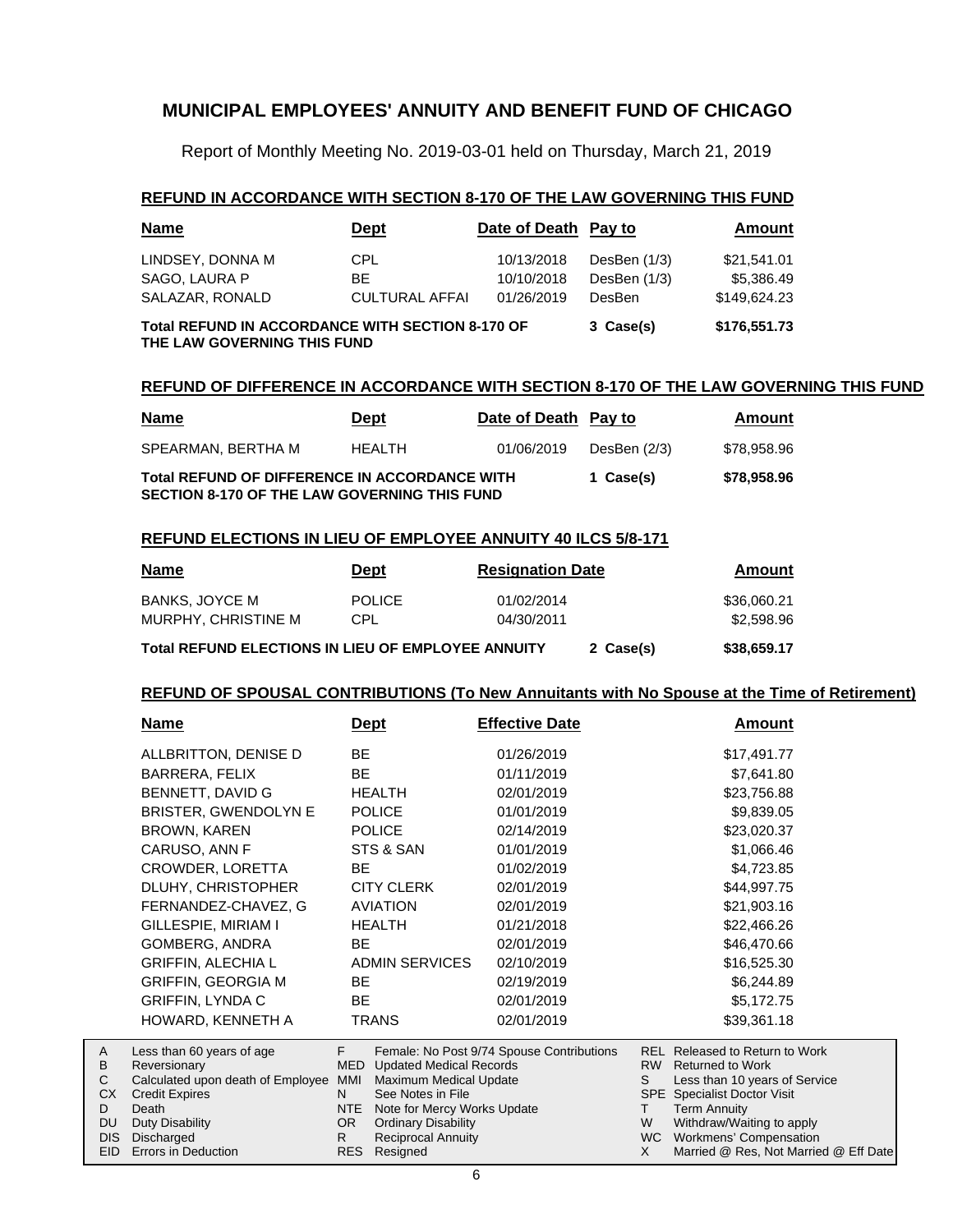Report of Monthly Meeting No. 2019-03-01 held on Thursday, March 21, 2019

### **REFUND IN ACCORDANCE WITH SECTION 8-170 OF THE LAW GOVERNING THIS FUND**

| <b>Name</b>                                                                            | <u>Dept</u>           | Date of Death Pay to |                | <b>Amount</b> |
|----------------------------------------------------------------------------------------|-----------------------|----------------------|----------------|---------------|
| LINDSEY, DONNA M                                                                       | CPL.                  | 10/13/2018           | DesBen $(1/3)$ | \$21,541.01   |
| SAGO, LAURA P                                                                          | BE.                   | 10/10/2018           | DesBen (1/3)   | \$5.386.49    |
| SALAZAR, RONALD                                                                        | <b>CULTURAL AFFAI</b> | 01/26/2019           | DesBen         | \$149.624.23  |
| <b>Total REFUND IN ACCORDANCE WITH SECTION 8-170 OF</b><br>THE LAW GOVERNING THIS FUND | 3 Case(s)             | \$176,551.73         |                |               |

### **REFUND OF DIFFERENCE IN ACCORDANCE WITH SECTION 8-170 OF THE LAW GOVERNING THIS FUND**

| <u>Name</u>                                                                                          | <u>Dept</u> | Date of Death Pay to |              | Amount      |
|------------------------------------------------------------------------------------------------------|-------------|----------------------|--------------|-------------|
| SPEARMAN. BERTHA M                                                                                   | HEALTH      | 01/06/2019           | DesBen (2/3) | \$78.958.96 |
| Total REFUND OF DIFFERENCE IN ACCORDANCE WITH<br><b>SECTION 8-170 OF THE LAW GOVERNING THIS FUND</b> |             |                      | 1 Case(s)    | \$78,958.96 |

### **REFUND ELECTIONS IN LIEU OF EMPLOYEE ANNUITY 40 ILCS 5/8-171**

| <b>Name</b>                                        | Dept                        | <b>Resignation Date</b>  | Amount                    |
|----------------------------------------------------|-----------------------------|--------------------------|---------------------------|
| <b>BANKS, JOYCE M</b><br>MURPHY, CHRISTINE M       | <b>POLICE</b><br><b>CPL</b> | 01/02/2014<br>04/30/2011 | \$36,060.21<br>\$2,598.96 |
| Total REFUND ELECTIONS IN LIEU OF EMPLOYEE ANNUITY |                             | 2 Case(s)                | \$38,659.17               |

#### **REFUND OF SPOUSAL CONTRIBUTIONS (To New Annuitants with No Spouse at the Time of Retirement)**

| <u>Name</u>                       |            | <u>Dept</u>                    | <b>Effective Date</b>                     |                | <b>Amount</b>                  |  |
|-----------------------------------|------------|--------------------------------|-------------------------------------------|----------------|--------------------------------|--|
| ALLBRITTON, DENISE D              | BE         |                                | 01/26/2019                                |                | \$17,491.77                    |  |
| BARRERA, FELIX                    | <b>BE</b>  |                                | 01/11/2019                                |                | \$7,641.80                     |  |
| BENNETT, DAVID G                  |            | <b>HEALTH</b>                  | 02/01/2019                                |                | \$23,756.88                    |  |
| BRISTER, GWENDOLYN E              |            | <b>POLICE</b>                  | 01/01/2019                                |                | \$9,839.05                     |  |
| BROWN, KAREN                      |            | <b>POLICE</b>                  | 02/14/2019                                |                | \$23,020.37                    |  |
| CARUSO, ANN F                     |            | STS & SAN                      | 01/01/2019                                |                | \$1,066.46                     |  |
| CROWDER, LORETTA                  | <b>BE</b>  |                                | 01/02/2019                                |                | \$4,723.85                     |  |
| DLUHY, CHRISTOPHER                |            | <b>CITY CLERK</b>              | 02/01/2019                                |                | \$44,997.75                    |  |
| FERNANDEZ-CHAVEZ, G               |            | <b>AVIATION</b>                | 02/01/2019                                |                | \$21,903.16                    |  |
| GILLESPIE, MIRIAM I               |            | <b>HEALTH</b>                  | 01/21/2018                                |                | \$22,466.26                    |  |
| GOMBERG, ANDRA                    | BE.        |                                | 02/01/2019                                |                | \$46,470.66                    |  |
| <b>GRIFFIN, ALECHIA L</b>         |            | <b>ADMIN SERVICES</b>          | 02/10/2019                                |                | \$16,525.30                    |  |
| <b>GRIFFIN, GEORGIA M</b>         | BE.        |                                | 02/19/2019                                |                | \$6,244.89                     |  |
| <b>GRIFFIN, LYNDA C</b>           | <b>BE</b>  |                                | 02/01/2019                                |                | \$5,172.75                     |  |
| HOWARD, KENNETH A                 |            | <b>TRANS</b>                   | 02/01/2019                                |                | \$39,361.18                    |  |
| Less than 60 years of age         | F.         |                                | Female: No Post 9/74 Spouse Contributions |                | REL Released to Return to Work |  |
| Reversionary                      | <b>MED</b> | <b>Updated Medical Records</b> |                                           |                | RW Returned to Work            |  |
| Calculated upon death of Employee | MMI        | Maximum Medical Update         |                                           | S              | Less than 10 years of Service  |  |
| <b>Credit Expires</b>             | N.         | See Notes in File              |                                           |                | SPE Specialist Doctor Visit    |  |
| Death                             | NTE        | Note for Mercy Works Update    |                                           | T.             | <b>Term Annuity</b>            |  |
| Duty Disability                   | OR.        | <b>Ordinary Disability</b>     |                                           | W<br><b>WC</b> | Withdraw/Waiting to apply      |  |
| <b>Discharged</b>                 | R.         | <b>Reciprocal Annuity</b>      |                                           |                | <b>Workmens' Compensation</b>  |  |

EID Errors in Deduction DIS

A B C CX D DU

Resigned RES

Married @ Res, Not Married @ Eff Date

X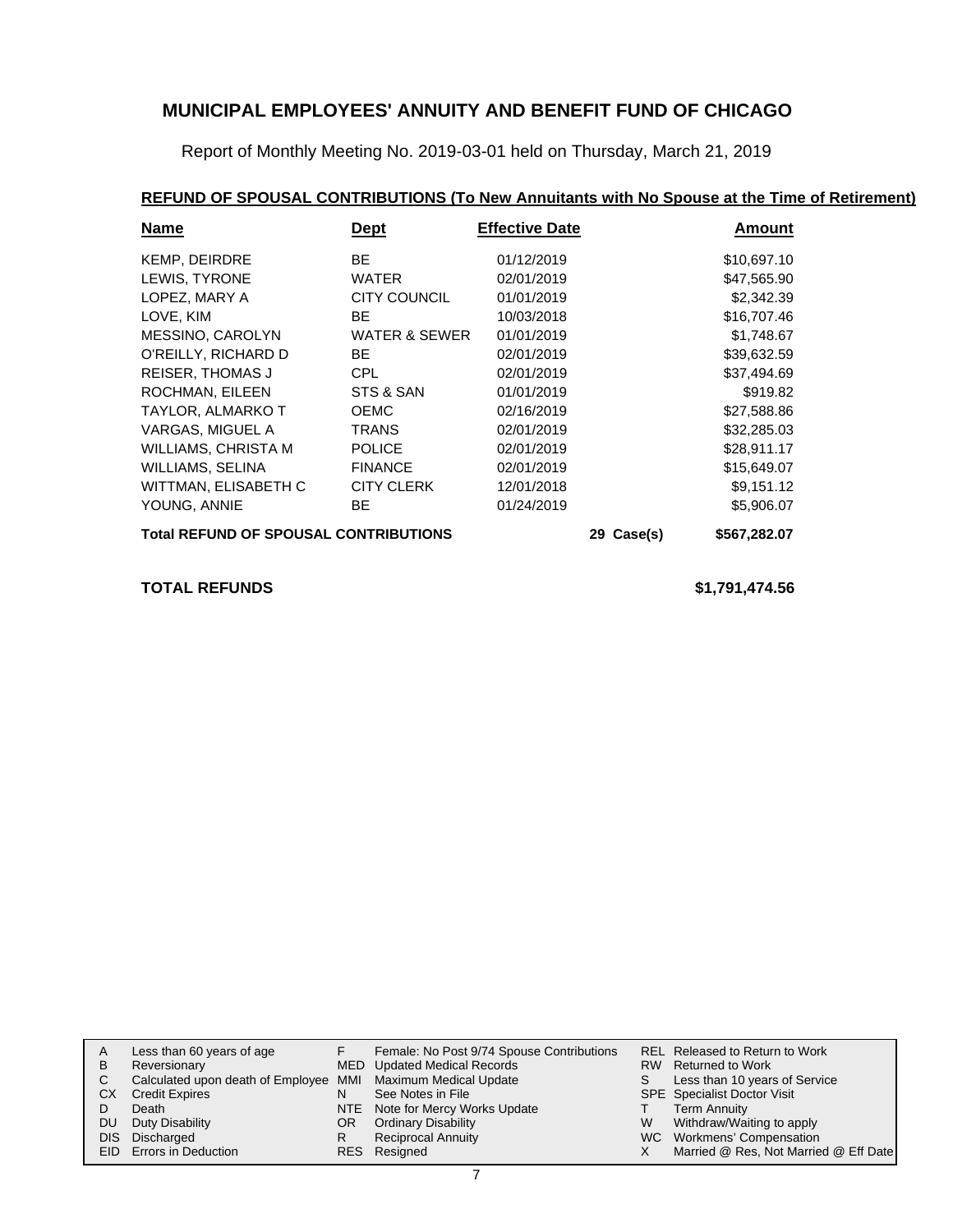Report of Monthly Meeting No. 2019-03-01 held on Thursday, March 21, 2019

# **REFUND OF SPOUSAL CONTRIBUTIONS (To New Annuitants with No Spouse at the Time of Retirement)**

| <b>Name</b>                                  | <u>Dept</u>       | <b>Effective Date</b> |  | <u>Amount</u> |  |
|----------------------------------------------|-------------------|-----------------------|--|---------------|--|
| <b>KEMP, DEIRDRE</b>                         | BE.               | 01/12/2019            |  | \$10,697.10   |  |
| LEWIS, TYRONE                                | WATER             | 02/01/2019            |  | \$47,565.90   |  |
| LOPEZ, MARY A                                | CITY COUNCIL      | 01/01/2019            |  | \$2,342.39    |  |
| LOVE, KIM                                    | <b>BE</b>         | 10/03/2018            |  | \$16,707.46   |  |
| MESSINO, CAROLYN                             | WATER & SEWER     | 01/01/2019            |  | \$1,748.67    |  |
| O'REILLY, RICHARD D                          | BE.               | 02/01/2019            |  | \$39,632.59   |  |
| <b>REISER, THOMAS J</b>                      | <b>CPL</b>        | 02/01/2019            |  | \$37,494.69   |  |
| ROCHMAN, EILEEN                              | STS & SAN         | 01/01/2019            |  | \$919.82      |  |
| TAYLOR, ALMARKO T                            | <b>OEMC</b>       | 02/16/2019            |  | \$27,588.86   |  |
| VARGAS, MIGUEL A                             | <b>TRANS</b>      | 02/01/2019            |  | \$32,285.03   |  |
| WILLIAMS, CHRISTA M                          | <b>POLICE</b>     | 02/01/2019            |  | \$28,911.17   |  |
| WILLIAMS, SELINA                             | <b>FINANCE</b>    | 02/01/2019            |  | \$15,649.07   |  |
| WITTMAN, ELISABETH C                         | <b>CITY CLERK</b> | 12/01/2018            |  | \$9,151.12    |  |
| YOUNG, ANNIE                                 | BE.               | 01/24/2019            |  | \$5,906.07    |  |
| <b>Total REFUND OF SPOUSAL CONTRIBUTIONS</b> | 29 Case(s)        | \$567,282.07          |  |               |  |

**TOTAL REFUNDS \$1,791,474.56**

| A  | Less than 60 years of age                                    |     | Female: No Post 9/74 Spouse Contributions |    | REL Released to Return to Work        |
|----|--------------------------------------------------------------|-----|-------------------------------------------|----|---------------------------------------|
| В  | Reversionary                                                 |     | MED Updated Medical Records               |    | RW Returned to Work                   |
|    | Calculated upon death of Employee MMI Maximum Medical Update |     |                                           | S. | Less than 10 years of Service         |
| CХ | <b>Credit Expires</b>                                        | N   | See Notes in File                         |    | <b>SPE</b> Specialist Doctor Visit    |
|    | Death                                                        |     | NTE Note for Mercy Works Update           |    | <b>Term Annuity</b>                   |
| DU | Duty Disability                                              | OR. | <b>Ordinary Disability</b>                | W  | Withdraw/Waiting to apply             |
|    | DIS Discharged                                               |     | <b>Reciprocal Annuity</b>                 |    | WC Workmens' Compensation             |
|    | EID Errors in Deduction                                      |     | RES Resigned                              |    | Married @ Res, Not Married @ Eff Date |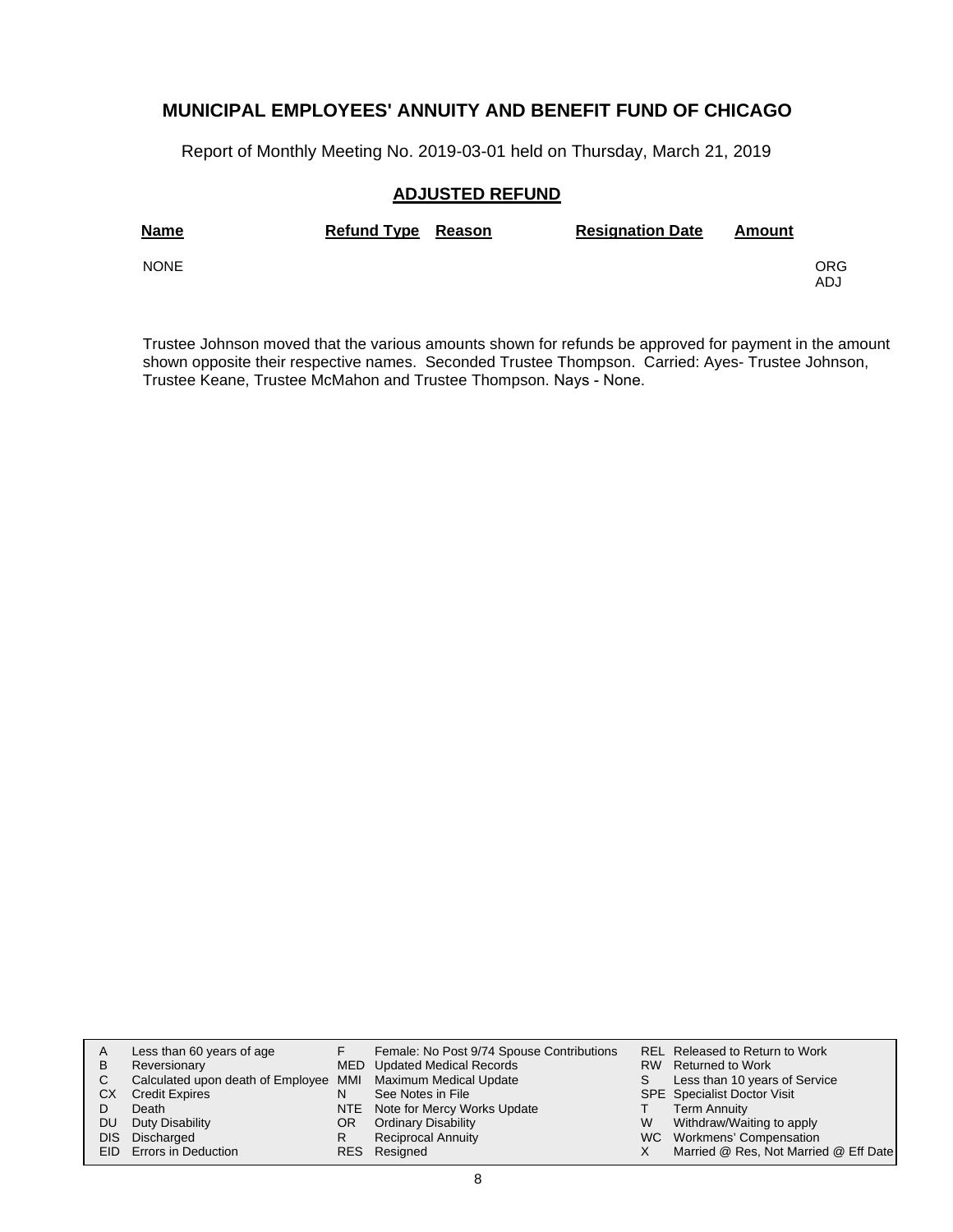Report of Monthly Meeting No. 2019-03-01 held on Thursday, March 21, 2019

### **ADJUSTED REFUND**

| <b>Name</b> | <b>Refund Type Reason</b> | <b>Resignation Date</b> | Amount |             |
|-------------|---------------------------|-------------------------|--------|-------------|
| <b>NONE</b> |                           |                         |        | ORG.<br>ADJ |

Trustee Johnson moved that the various amounts shown for refunds be approved for payment in the amount shown opposite their respective names. Seconded Trustee Thompson. Carried: Ayes- Trustee Johnson, Trustee Keane, Trustee McMahon and Trustee Thompson. Nays - None.

| A   | Less than 60 years of age                                    |    | Female: No Post 9/74 Spouse Contributions |   | REL Released to Return to Work        |
|-----|--------------------------------------------------------------|----|-------------------------------------------|---|---------------------------------------|
| В   | Reversionary                                                 |    | <b>MED</b> Updated Medical Records        |   | RW Returned to Work                   |
|     | Calculated upon death of Employee MMI Maximum Medical Update |    |                                           |   | Less than 10 years of Service         |
| CХ  | <b>Credit Expires</b>                                        | N  | See Notes in File                         |   | <b>SPE</b> Specialist Doctor Visit    |
|     | Death                                                        |    | NTE Note for Mercy Works Update           |   | <b>Term Annuity</b>                   |
| DU. | Duty Disability                                              | OR | <b>Ordinary Disability</b>                | W | Withdraw/Waiting to apply             |
|     | DIS Discharged                                               | R  | Reciprocal Annuity                        |   | WC Workmens' Compensation             |
|     | <b>EID</b> Errors in Deduction                               |    | RES Resigned                              |   | Married @ Res, Not Married @ Eff Date |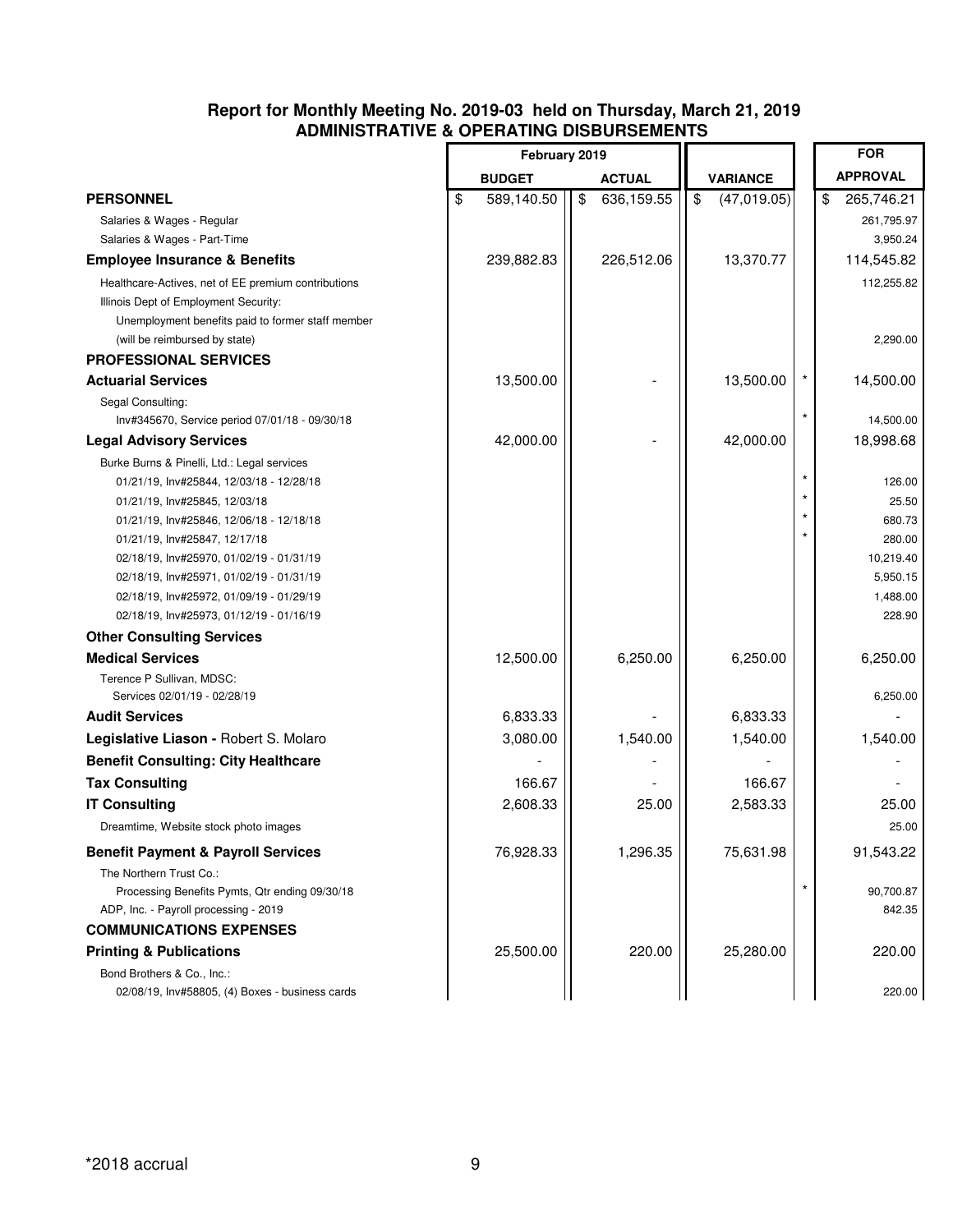### **Report for Monthly Meeting No. 2019-03 held on Thursday, March 21, 2019 ADMINISTRATIVE & OPERATING DISBURSEMENTS**

|                                                                                      | February 2019    |                             |                                        |         | <b>FOR</b>            |
|--------------------------------------------------------------------------------------|------------------|-----------------------------|----------------------------------------|---------|-----------------------|
|                                                                                      | <b>BUDGET</b>    | <b>ACTUAL</b>               | <b>VARIANCE</b>                        |         | <b>APPROVAL</b>       |
| <b>PERSONNEL</b>                                                                     | \$<br>589,140.50 | $\sqrt[6]{2}$<br>636,159.55 | $\sqrt[6]{\frac{1}{2}}$<br>(47,019.05) |         | 265,746.21<br>\$      |
| Salaries & Wages - Regular                                                           |                  |                             |                                        |         | 261,795.97            |
| Salaries & Wages - Part-Time                                                         |                  |                             |                                        |         | 3,950.24              |
| <b>Employee Insurance &amp; Benefits</b>                                             | 239,882.83       | 226,512.06                  | 13,370.77                              |         | 114,545.82            |
| Healthcare-Actives, net of EE premium contributions                                  |                  |                             |                                        |         | 112,255.82            |
| Illinois Dept of Employment Security:                                                |                  |                             |                                        |         |                       |
| Unemployment benefits paid to former staff member                                    |                  |                             |                                        |         |                       |
| (will be reimbursed by state)                                                        |                  |                             |                                        |         | 2,290.00              |
| <b>PROFESSIONAL SERVICES</b>                                                         |                  |                             |                                        |         |                       |
| <b>Actuarial Services</b>                                                            | 13,500.00        |                             | 13,500.00                              |         | 14,500.00             |
| Segal Consulting:                                                                    |                  |                             |                                        | $\star$ |                       |
| Inv#345670, Service period 07/01/18 - 09/30/18                                       |                  |                             |                                        |         | 14,500.00             |
| <b>Legal Advisory Services</b>                                                       | 42,000.00        |                             | 42,000.00                              |         | 18,998.68             |
| Burke Burns & Pinelli, Ltd.: Legal services                                          |                  |                             |                                        | $\star$ |                       |
| 01/21/19, Inv#25844, 12/03/18 - 12/28/18                                             |                  |                             |                                        |         | 126.00                |
| 01/21/19, Inv#25845, 12/03/18                                                        |                  |                             |                                        |         | 25.50                 |
| 01/21/19, Inv#25846, 12/06/18 - 12/18/18                                             |                  |                             |                                        |         | 680.73                |
| 01/21/19, Inv#25847, 12/17/18                                                        |                  |                             |                                        |         | 280.00                |
| 02/18/19, Inv#25970, 01/02/19 - 01/31/19<br>02/18/19, Inv#25971, 01/02/19 - 01/31/19 |                  |                             |                                        |         | 10,219.40<br>5,950.15 |
| 02/18/19, Inv#25972, 01/09/19 - 01/29/19                                             |                  |                             |                                        |         | 1,488.00              |
| 02/18/19, Inv#25973, 01/12/19 - 01/16/19                                             |                  |                             |                                        |         | 228.90                |
| <b>Other Consulting Services</b>                                                     |                  |                             |                                        |         |                       |
| <b>Medical Services</b>                                                              | 12,500.00        | 6,250.00                    | 6,250.00                               |         | 6,250.00              |
| Terence P Sullivan, MDSC:                                                            |                  |                             |                                        |         |                       |
| Services 02/01/19 - 02/28/19                                                         |                  |                             |                                        |         | 6,250.00              |
| <b>Audit Services</b>                                                                | 6,833.33         |                             | 6,833.33                               |         |                       |
| Legislative Liason - Robert S. Molaro                                                | 3,080.00         | 1,540.00                    | 1,540.00                               |         | 1,540.00              |
| <b>Benefit Consulting: City Healthcare</b>                                           |                  |                             |                                        |         |                       |
| <b>Tax Consulting</b>                                                                | 166.67           |                             | 166.67                                 |         |                       |
| <b>IT Consulting</b>                                                                 | 2,608.33         | 25.00                       | 2,583.33                               |         | 25.00                 |
| Dreamtime, Website stock photo images                                                |                  |                             |                                        |         | 25.00                 |
| <b>Benefit Payment &amp; Payroll Services</b>                                        | 76,928.33        | 1,296.35                    | 75,631.98                              |         | 91,543.22             |
| The Northern Trust Co.:                                                              |                  |                             |                                        |         |                       |
| Processing Benefits Pymts, Qtr ending 09/30/18                                       |                  |                             |                                        | $\star$ | 90,700.87             |
| ADP, Inc. - Payroll processing - 2019                                                |                  |                             |                                        |         | 842.35                |
| <b>COMMUNICATIONS EXPENSES</b>                                                       |                  |                             |                                        |         |                       |
| <b>Printing &amp; Publications</b>                                                   | 25,500.00        | 220.00                      | 25,280.00                              |         | 220.00                |
| Bond Brothers & Co., Inc.:                                                           |                  |                             |                                        |         |                       |
| 02/08/19, Inv#58805, (4) Boxes - business cards                                      |                  |                             |                                        |         | 220.00                |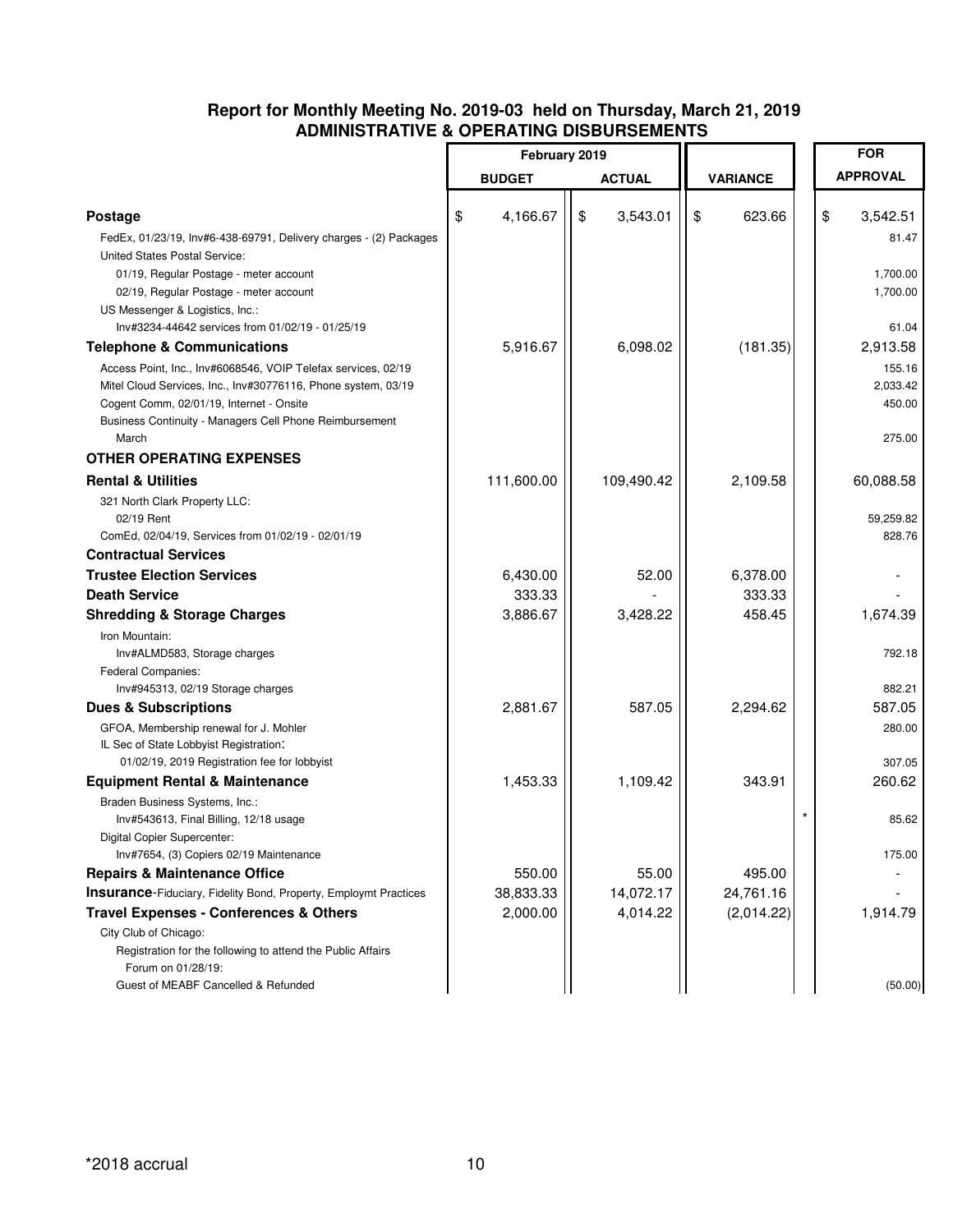### **Report for Monthly Meeting No. 2019-03 held on Thursday, March 21, 2019 ADMINISTRATIVE & OPERATING DISBURSEMENTS**

|                                                                                                                                                                               | February 2019  |                |                 | <b>FOR</b>                   |
|-------------------------------------------------------------------------------------------------------------------------------------------------------------------------------|----------------|----------------|-----------------|------------------------------|
|                                                                                                                                                                               |                |                |                 |                              |
|                                                                                                                                                                               | <b>BUDGET</b>  | <b>ACTUAL</b>  | <b>VARIANCE</b> | <b>APPROVAL</b>              |
| <b>Postage</b><br>FedEx, 01/23/19, Inv#6-438-69791, Delivery charges - (2) Packages                                                                                           | 4,166.67<br>\$ | 3,543.01<br>\$ | \$<br>623.66    | \$<br>3,542.51<br>81.47      |
| United States Postal Service:<br>01/19, Regular Postage - meter account<br>02/19, Regular Postage - meter account<br>US Messenger & Logistics, Inc.:                          |                |                |                 | 1,700.00<br>1,700.00         |
| Inv#3234-44642 services from 01/02/19 - 01/25/19                                                                                                                              |                |                |                 | 61.04                        |
| <b>Telephone &amp; Communications</b><br>Access Point, Inc., Inv#6068546, VOIP Telefax services, 02/19                                                                        | 5,916.67       | 6,098.02       | (181.35)        | 2,913.58<br>155.16           |
| Mitel Cloud Services, Inc., Inv#30776116, Phone system, 03/19<br>Cogent Comm, 02/01/19, Internet - Onsite<br>Business Continuity - Managers Cell Phone Reimbursement<br>March |                |                |                 | 2,033.42<br>450.00<br>275.00 |
| <b>OTHER OPERATING EXPENSES</b>                                                                                                                                               |                |                |                 |                              |
| <b>Rental &amp; Utilities</b>                                                                                                                                                 | 111,600.00     | 109,490.42     | 2,109.58        | 60,088.58                    |
| 321 North Clark Property LLC:<br>02/19 Rent<br>ComEd, 02/04/19, Services from 01/02/19 - 02/01/19                                                                             |                |                |                 | 59,259.82<br>828.76          |
| <b>Contractual Services</b>                                                                                                                                                   |                |                |                 |                              |
| <b>Trustee Election Services</b>                                                                                                                                              | 6,430.00       | 52.00          | 6,378.00        |                              |
| <b>Death Service</b>                                                                                                                                                          | 333.33         |                | 333.33          |                              |
| <b>Shredding &amp; Storage Charges</b>                                                                                                                                        | 3,886.67       | 3,428.22       | 458.45          | 1,674.39                     |
| Iron Mountain:<br>Inv#ALMD583, Storage charges<br>Federal Companies:                                                                                                          |                |                |                 | 792.18                       |
| Inv#945313, 02/19 Storage charges                                                                                                                                             |                |                |                 | 882.21                       |
| <b>Dues &amp; Subscriptions</b>                                                                                                                                               | 2,881.67       | 587.05         | 2,294.62        | 587.05                       |
| GFOA, Membership renewal for J. Mohler<br>IL Sec of State Lobbyist Registration:                                                                                              |                |                |                 | 280.00                       |
| 01/02/19, 2019 Registration fee for lobbyist                                                                                                                                  |                |                |                 | 307.05                       |
| <b>Equipment Rental &amp; Maintenance</b><br>Braden Business Systems, Inc.:<br>Inv#543613, Final Billing, 12/18 usage                                                         | 1,453.33       | 1,109.42       | 343.91          | 260.62<br>85.62              |
| Digital Copier Supercenter:<br>Inv#7654, (3) Copiers 02/19 Maintenance                                                                                                        |                |                |                 | 175.00                       |
| <b>Repairs &amp; Maintenance Office</b>                                                                                                                                       | 550.00         | 55.00          | 495.00          |                              |
| <b>Insurance-Fiduciary, Fidelity Bond, Property, Employmt Practices</b>                                                                                                       | 38,833.33      | 14,072.17      | 24,761.16       |                              |
| <b>Travel Expenses - Conferences &amp; Others</b>                                                                                                                             | 2,000.00       | 4,014.22       | (2,014.22)      | 1,914.79                     |
| City Club of Chicago:<br>Registration for the following to attend the Public Affairs<br>Forum on 01/28/19:<br>Guest of MEABF Cancelled & Refunded                             |                |                |                 | (50.00)                      |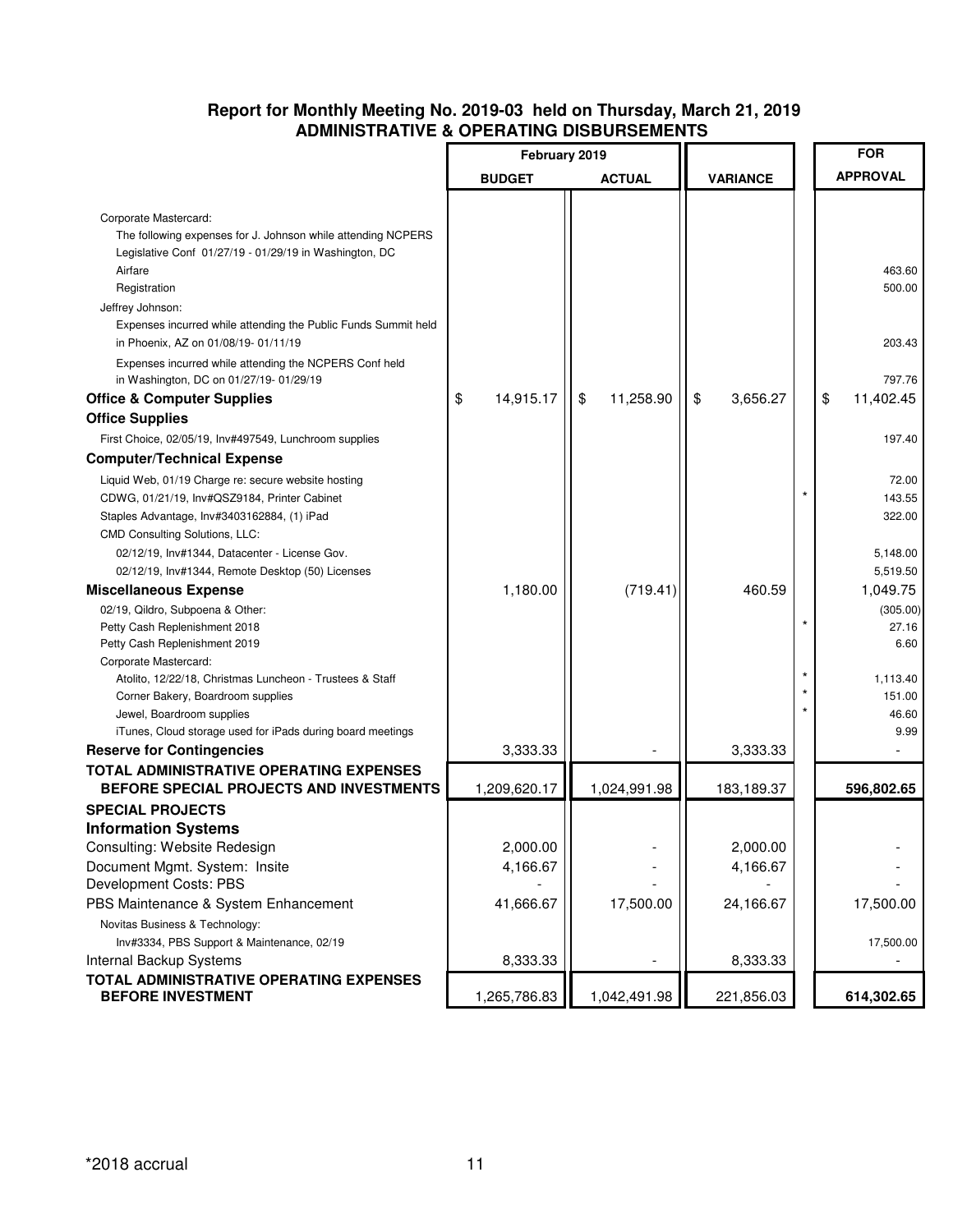### **Report for Monthly Meeting No. 2019-03 held on Thursday, March 21, 2019 ADMINISTRATIVE & OPERATING DISBURSEMENTS**

|                                                                                       |                 |                 |                 | <b>FOR</b>      |
|---------------------------------------------------------------------------------------|-----------------|-----------------|-----------------|-----------------|
|                                                                                       | February 2019   |                 |                 |                 |
|                                                                                       | <b>BUDGET</b>   | <b>ACTUAL</b>   | <b>VARIANCE</b> | <b>APPROVAL</b> |
|                                                                                       |                 |                 |                 |                 |
| Corporate Mastercard:<br>The following expenses for J. Johnson while attending NCPERS |                 |                 |                 |                 |
| Legislative Conf 01/27/19 - 01/29/19 in Washington, DC                                |                 |                 |                 |                 |
| Airfare                                                                               |                 |                 |                 | 463.60          |
| Registration                                                                          |                 |                 |                 | 500.00          |
| Jeffrey Johnson:                                                                      |                 |                 |                 |                 |
| Expenses incurred while attending the Public Funds Summit held                        |                 |                 |                 |                 |
| in Phoenix, AZ on 01/08/19-01/11/19                                                   |                 |                 |                 | 203.43          |
| Expenses incurred while attending the NCPERS Conf held                                |                 |                 |                 |                 |
| in Washington, DC on 01/27/19- 01/29/19                                               |                 |                 |                 | 797.76          |
| <b>Office &amp; Computer Supplies</b>                                                 | \$<br>14,915.17 | \$<br>11,258.90 | \$<br>3,656.27  | \$<br>11,402.45 |
| <b>Office Supplies</b>                                                                |                 |                 |                 |                 |
| First Choice, 02/05/19, Inv#497549, Lunchroom supplies                                |                 |                 |                 | 197.40          |
| <b>Computer/Technical Expense</b>                                                     |                 |                 |                 |                 |
| Liquid Web, 01/19 Charge re: secure website hosting                                   |                 |                 |                 | 72.00           |
| CDWG, 01/21/19, Inv#QSZ9184, Printer Cabinet                                          |                 |                 |                 | 143.55          |
| Staples Advantage, Inv#3403162884, (1) iPad                                           |                 |                 |                 | 322.00          |
| CMD Consulting Solutions, LLC:                                                        |                 |                 |                 |                 |
| 02/12/19, Inv#1344, Datacenter - License Gov.                                         |                 |                 |                 | 5,148.00        |
| 02/12/19, Inv#1344, Remote Desktop (50) Licenses                                      |                 |                 |                 | 5,519.50        |
| <b>Miscellaneous Expense</b>                                                          | 1,180.00        | (719.41)        | 460.59          | 1,049.75        |
| 02/19, Qildro, Subpoena & Other:                                                      |                 |                 |                 | (305.00)        |
| Petty Cash Replenishment 2018                                                         |                 |                 |                 | 27.16           |
| Petty Cash Replenishment 2019                                                         |                 |                 |                 | 6.60            |
| Corporate Mastercard:                                                                 |                 |                 |                 |                 |
| Atolito, 12/22/18, Christmas Luncheon - Trustees & Staff                              |                 |                 |                 | 1,113.40        |
| Corner Bakery, Boardroom supplies                                                     |                 |                 |                 | 151.00          |
| Jewel, Boardroom supplies                                                             |                 |                 |                 | 46.60           |
| iTunes, Cloud storage used for iPads during board meetings                            |                 |                 |                 | 9.99            |
| <b>Reserve for Contingencies</b>                                                      | 3,333.33        |                 | 3,333.33        |                 |
| TOTAL ADMINISTRATIVE OPERATING EXPENSES<br>BEFORE SPECIAL PROJECTS AND INVESTMENTS    | 1,209,620.17    | 1,024,991.98    | 183,189.37      | 596,802.65      |
| <b>SPECIAL PROJECTS</b>                                                               |                 |                 |                 |                 |
| <b>Information Systems</b>                                                            |                 |                 |                 |                 |
| Consulting: Website Redesign                                                          | 2,000.00        |                 | 2,000.00        |                 |
| Document Mgmt. System: Insite                                                         | 4,166.67        |                 | 4,166.67        |                 |
| Development Costs: PBS                                                                |                 |                 |                 |                 |
| PBS Maintenance & System Enhancement                                                  | 41,666.67       | 17,500.00       | 24,166.67       | 17,500.00       |
| Novitas Business & Technology:                                                        |                 |                 |                 |                 |
| Inv#3334, PBS Support & Maintenance, 02/19                                            |                 |                 |                 | 17,500.00       |
| Internal Backup Systems                                                               | 8,333.33        |                 | 8,333.33        |                 |
| TOTAL ADMINISTRATIVE OPERATING EXPENSES                                               |                 |                 |                 |                 |
| <b>BEFORE INVESTMENT</b>                                                              | 1,265,786.83    | 1,042,491.98    | 221,856.03      | 614,302.65      |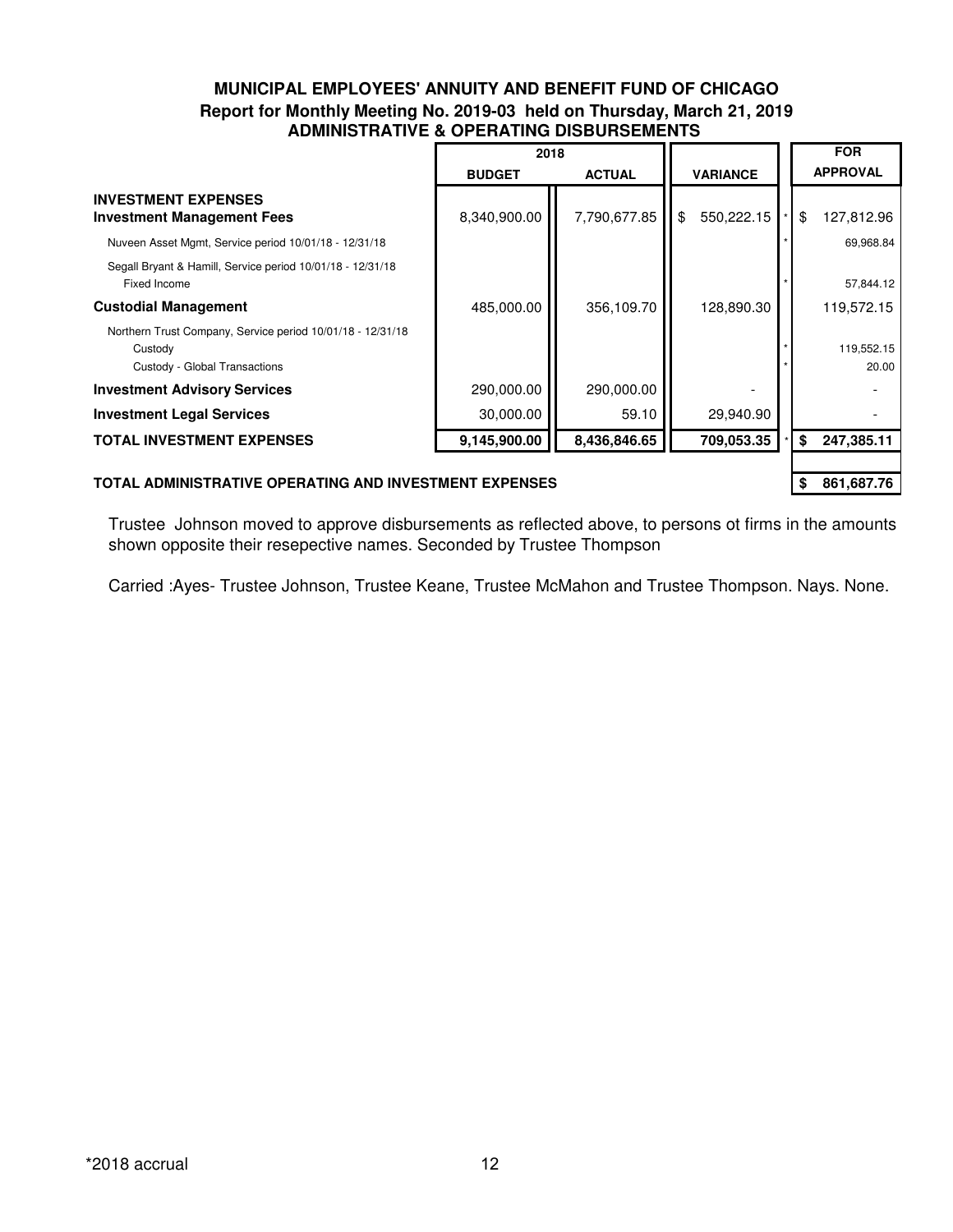### **MUNICIPAL EMPLOYEES' ANNUITY AND BENEFIT FUND OF CHICAGO Report for Monthly Meeting No. 2019-03 held on Thursday, March 21, 2019 ADMINISTRATIVE & OPERATING DISBURSEMENTS**

|                                                                                                        | 2018          |               |                     |    | <b>FOR</b>          |
|--------------------------------------------------------------------------------------------------------|---------------|---------------|---------------------|----|---------------------|
|                                                                                                        | <b>BUDGET</b> | <b>ACTUAL</b> | <b>VARIANCE</b>     |    | <b>APPROVAL</b>     |
| <b>INVESTMENT EXPENSES</b><br><b>Investment Management Fees</b>                                        | 8,340,900.00  | 7,790,677.85  | II \$<br>550,222.15 | \$ | 127,812.96          |
| Nuveen Asset Mgmt, Service period 10/01/18 - 12/31/18                                                  |               |               |                     |    | 69,968.84           |
| Segall Bryant & Hamill, Service period 10/01/18 - 12/31/18<br>Fixed Income                             |               |               |                     |    | 57,844.12           |
| <b>Custodial Management</b>                                                                            | 485,000.00    | 356,109.70    | 128,890.30          |    | 119,572.15          |
| Northern Trust Company, Service period 10/01/18 - 12/31/18<br>Custody<br>Custody - Global Transactions |               |               |                     |    | 119,552.15<br>20.00 |
| <b>Investment Advisory Services</b>                                                                    | 290,000.00    | 290,000.00    |                     |    |                     |
| <b>Investment Legal Services</b>                                                                       | 30,000.00     | 59.10         | 29,940.90           |    |                     |
| <b>TOTAL INVESTMENT EXPENSES</b>                                                                       | 9,145,900.00  | 8,436,846.65  | 709,053.35          | \$ | 247,385.11          |
|                                                                                                        |               |               |                     |    |                     |

### **TOTAL ADMINISTRATIVE OPERATING AND INVESTMENT EXPENSES \$** 861,687.76

Trustee Johnson moved to approve disbursements as reflected above, to persons ot firms in the amounts shown opposite their resepective names. Seconded by Trustee Thompson

Carried :Ayes- Trustee Johnson, Trustee Keane, Trustee McMahon and Trustee Thompson. Nays. None.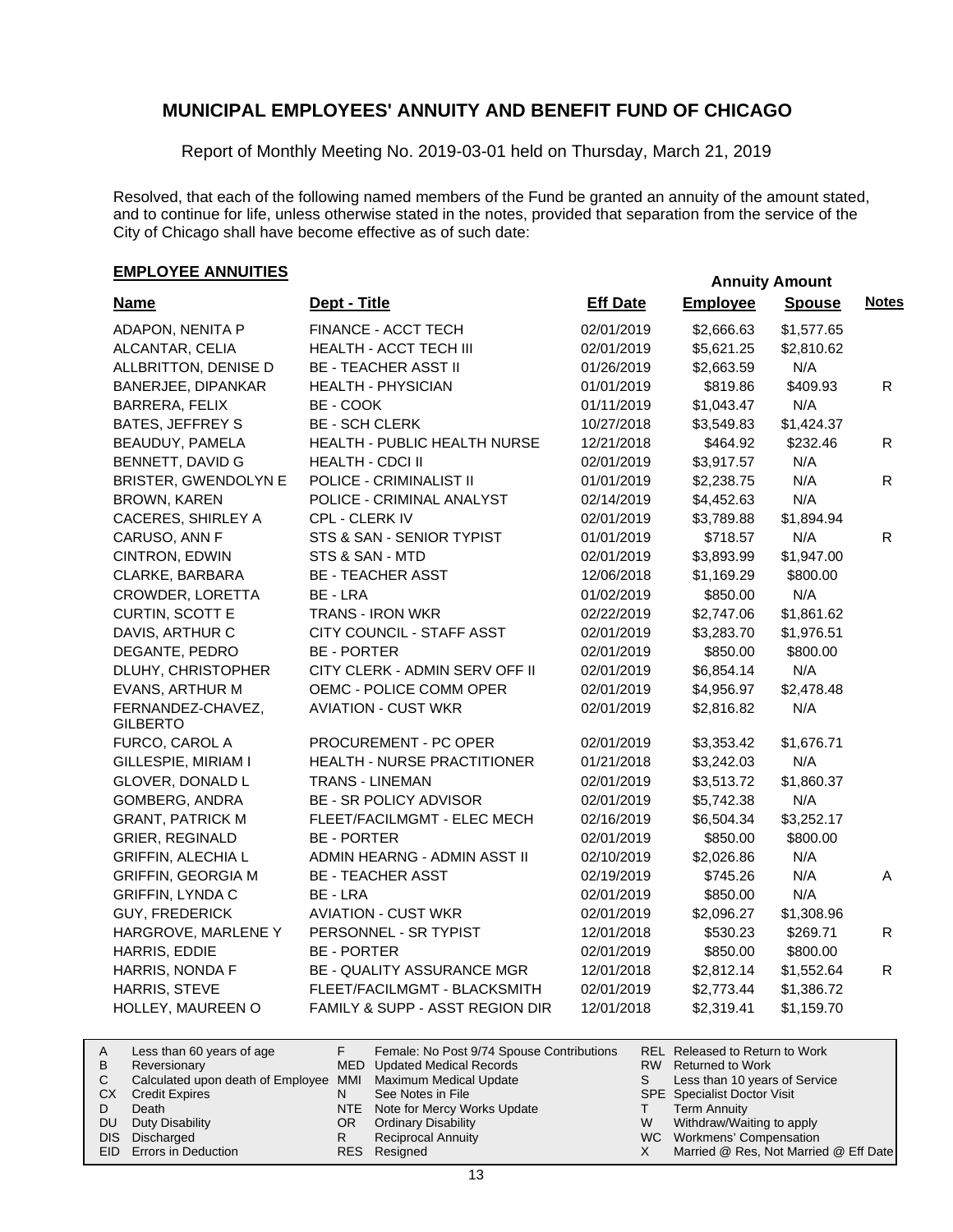Report of Monthly Meeting No. 2019-03-01 held on Thursday, March 21, 2019

Resolved, that each of the following named members of the Fund be granted an annuity of the amount stated, and to continue for life, unless otherwise stated in the notes, provided that separation from the service of the City of Chicago shall have become effective as of such date:

# **EMPLOYEE ANNUITIES**

| <b>Name</b>                          | Dept - Title                       | <b>Eff Date</b> | <b>Employee</b> | <b>Spouse</b> | <b>Notes</b> |
|--------------------------------------|------------------------------------|-----------------|-----------------|---------------|--------------|
| ADAPON, NENITA P                     | FINANCE - ACCT TECH                | 02/01/2019      | \$2,666.63      | \$1,577.65    |              |
| ALCANTAR, CELIA                      | HEALTH - ACCT TECH III             | 02/01/2019      | \$5,621.25      | \$2,810.62    |              |
| ALLBRITTON, DENISE D                 | <b>BE - TEACHER ASST II</b>        | 01/26/2019      | \$2,663.59      | N/A           |              |
| <b>BANERJEE, DIPANKAR</b>            | <b>HEALTH - PHYSICIAN</b>          | 01/01/2019      | \$819.86        | \$409.93      | $\mathsf{R}$ |
| BARRERA, FELIX                       | BE - COOK                          | 01/11/2019      | \$1,043.47      | N/A           |              |
| <b>BATES, JEFFREY S</b>              | <b>BE - SCH CLERK</b>              | 10/27/2018      | \$3,549.83      | \$1,424.37    |              |
| BEAUDUY, PAMELA                      | HEALTH - PUBLIC HEALTH NURSE       | 12/21/2018      | \$464.92        | \$232.46      | R            |
| BENNETT, DAVID G                     | <b>HEALTH - CDCI II</b>            | 02/01/2019      | \$3,917.57      | N/A           |              |
| <b>BRISTER, GWENDOLYN E</b>          | POLICE - CRIMINALIST II            | 01/01/2019      | \$2,238.75      | N/A           | $\mathsf{R}$ |
| BROWN, KAREN                         | POLICE - CRIMINAL ANALYST          | 02/14/2019      | \$4,452.63      | N/A           |              |
| CACERES, SHIRLEY A                   | CPL - CLERK IV                     | 02/01/2019      | \$3,789.88      | \$1,894.94    |              |
| CARUSO, ANN F                        | STS & SAN - SENIOR TYPIST          | 01/01/2019      | \$718.57        | N/A           | R            |
| CINTRON, EDWIN                       | STS & SAN - MTD                    | 02/01/2019      | \$3,893.99      | \$1,947.00    |              |
| CLARKE, BARBARA                      | <b>BE - TEACHER ASST</b>           | 12/06/2018      | \$1,169.29      | \$800.00      |              |
| CROWDER, LORETTA                     | BE - LRA                           | 01/02/2019      | \$850.00        | N/A           |              |
| CURTIN, SCOTT E                      | <b>TRANS - IRON WKR</b>            | 02/22/2019      | \$2,747.06      | \$1,861.62    |              |
| DAVIS, ARTHUR C                      | CITY COUNCIL - STAFF ASST          | 02/01/2019      | \$3,283.70      | \$1,976.51    |              |
| DEGANTE, PEDRO                       | <b>BE - PORTER</b>                 | 02/01/2019      | \$850.00        | \$800.00      |              |
| DLUHY, CHRISTOPHER                   | CITY CLERK - ADMIN SERV OFF II     | 02/01/2019      | \$6,854.14      | N/A           |              |
| EVANS, ARTHUR M                      | OEMC - POLICE COMM OPER            | 02/01/2019      | \$4,956.97      | \$2,478.48    |              |
| FERNANDEZ-CHAVEZ,<br><b>GILBERTO</b> | <b>AVIATION - CUST WKR</b>         | 02/01/2019      | \$2,816.82      | N/A           |              |
| FURCO, CAROL A                       | PROCUREMENT - PC OPER              | 02/01/2019      | \$3,353.42      | \$1,676.71    |              |
| GILLESPIE, MIRIAM I                  | <b>HEALTH - NURSE PRACTITIONER</b> | 01/21/2018      | \$3,242.03      | N/A           |              |
| GLOVER, DONALD L                     | <b>TRANS - LINEMAN</b>             | 02/01/2019      | \$3,513.72      | \$1,860.37    |              |
| GOMBERG, ANDRA                       | BE - SR POLICY ADVISOR             | 02/01/2019      | \$5,742.38      | N/A           |              |
| <b>GRANT, PATRICK M</b>              | FLEET/FACILMGMT - ELEC MECH        | 02/16/2019      | \$6,504.34      | \$3,252.17    |              |
| <b>GRIER, REGINALD</b>               | <b>BE - PORTER</b>                 | 02/01/2019      | \$850.00        | \$800.00      |              |
| <b>GRIFFIN, ALECHIA L</b>            | ADMIN HEARNG - ADMIN ASST II       | 02/10/2019      | \$2,026.86      | N/A           |              |
| <b>GRIFFIN, GEORGIA M</b>            | <b>BE - TEACHER ASST</b>           | 02/19/2019      | \$745.26        | N/A           | A            |
| GRIFFIN, LYNDA C                     | BE - LRA                           | 02/01/2019      | \$850.00        | N/A           |              |
| <b>GUY, FREDERICK</b>                | <b>AVIATION - CUST WKR</b>         | 02/01/2019      | \$2,096.27      | \$1,308.96    |              |
| HARGROVE, MARLENE Y                  | PERSONNEL - SR TYPIST              | 12/01/2018      | \$530.23        | \$269.71      | R            |
| HARRIS, EDDIE                        | <b>BE - PORTER</b>                 | 02/01/2019      | \$850.00        | \$800.00      |              |
| HARRIS, NONDA F                      | <b>BE - QUALITY ASSURANCE MGR</b>  | 12/01/2018      | \$2,812.14      | \$1,552.64    | $\mathsf{R}$ |
| HARRIS, STEVE                        | FLEET/FACILMGMT - BLACKSMITH       | 02/01/2019      | \$2,773.44      | \$1,386.72    |              |
| HOLLEY, MAUREEN O                    | FAMILY & SUPP - ASST REGION DIR    | 12/01/2018      | \$2,319.41      | \$1,159.70    |              |

| A  | Less than 60 years of age                                    |     | Female: No Post 9/74 Spouse Contributions |   | REL Released to Return to Work        |
|----|--------------------------------------------------------------|-----|-------------------------------------------|---|---------------------------------------|
| B  | Reversionary                                                 |     | MED Updated Medical Records               |   | RW Returned to Work                   |
|    | Calculated upon death of Employee MMI Maximum Medical Update |     |                                           | S | Less than 10 years of Service         |
| СX | <b>Credit Expires</b>                                        | N   | See Notes in File                         |   | <b>SPE</b> Specialist Doctor Visit    |
|    | Death                                                        |     | NTE Note for Mercy Works Update           |   | <b>Term Annuity</b>                   |
| DU | Duty Disability                                              | OR. | <b>Ordinary Disability</b>                | W | Withdraw/Waiting to apply             |
|    | DIS Discharged                                               |     | <b>Reciprocal Annuity</b>                 |   | WC Workmens' Compensation             |
|    | <b>EID</b> Errors in Deduction                               |     | RES Resigned                              |   | Married @ Res, Not Married @ Eff Date |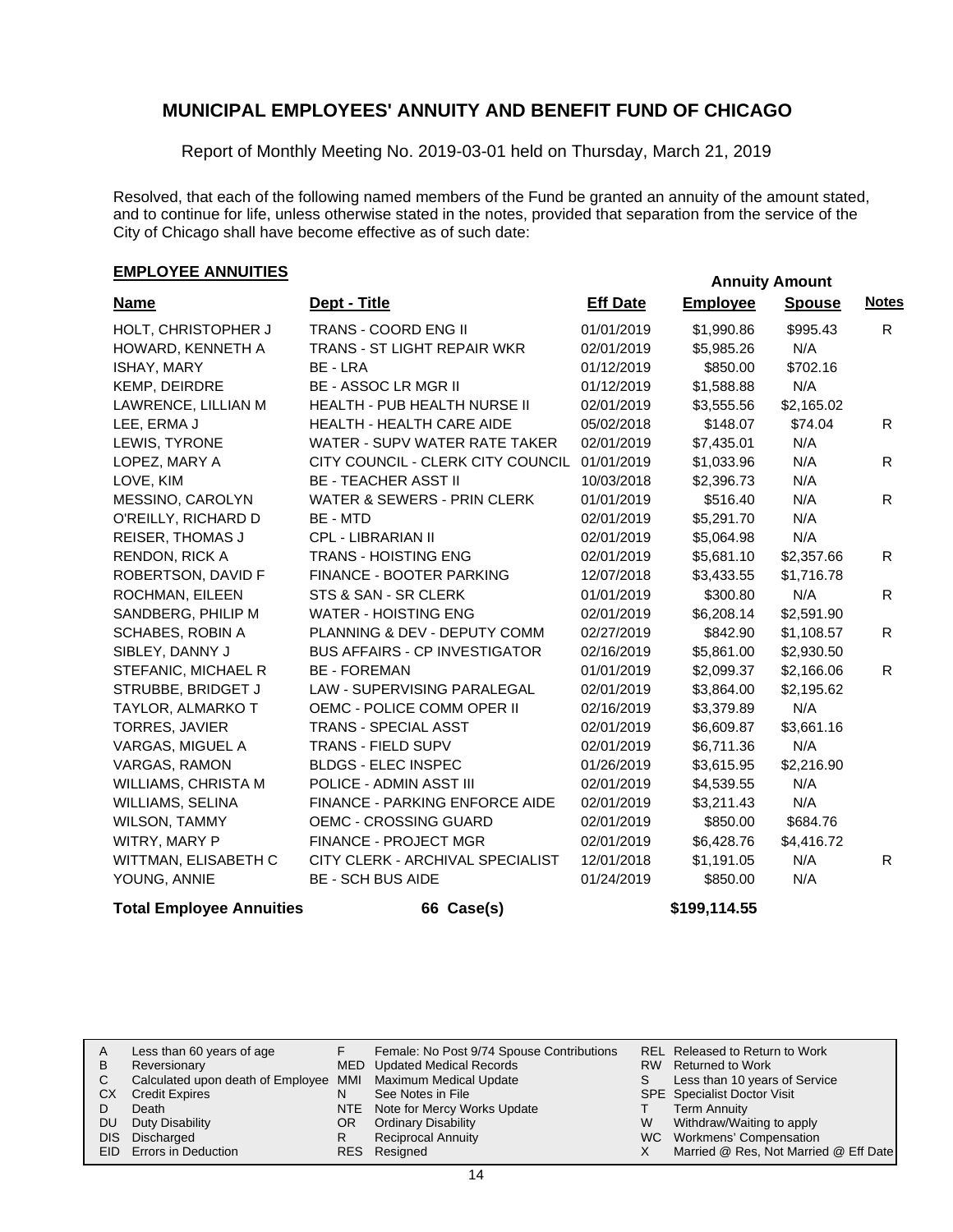Report of Monthly Meeting No. 2019-03-01 held on Thursday, March 21, 2019

Resolved, that each of the following named members of the Fund be granted an annuity of the amount stated, and to continue for life, unless otherwise stated in the notes, provided that separation from the service of the City of Chicago shall have become effective as of such date:

# **EMPLOYEE ANNUITIES**<br> **EMPLOYEE ANNUITIES**

| <b>Name</b>             | Dept - Title                           | <b>Eff Date</b> | <b>Employee</b> | <b>Spouse</b> | <b>Notes</b> |
|-------------------------|----------------------------------------|-----------------|-----------------|---------------|--------------|
| HOLT, CHRISTOPHER J     | TRANS - COORD ENG II                   | 01/01/2019      | \$1,990.86      | \$995.43      | R.           |
| HOWARD, KENNETH A       | <b>TRANS - ST LIGHT REPAIR WKR</b>     | 02/01/2019      | \$5,985.26      | N/A           |              |
| ISHAY, MARY             | BE - LRA                               | 01/12/2019      | \$850.00        | \$702.16      |              |
| KEMP, DEIRDRE           | <b>BE - ASSOC LR MGR II</b>            | 01/12/2019      | \$1,588.88      | N/A           |              |
| LAWRENCE, LILLIAN M     | <b>HEALTH - PUB HEALTH NURSE II</b>    | 02/01/2019      | \$3,555.56      | \$2,165.02    |              |
| LEE, ERMA J             | <b>HEALTH - HEALTH CARE AIDE</b>       | 05/02/2018      | \$148.07        | \$74.04       | R.           |
| LEWIS, TYRONE           | WATER - SUPV WATER RATE TAKER          | 02/01/2019      | \$7,435.01      | N/A           |              |
| LOPEZ, MARY A           | CITY COUNCIL - CLERK CITY COUNCIL      | 01/01/2019      | \$1,033.96      | N/A           | R.           |
| LOVE, KIM               | <b>BE - TEACHER ASST II</b>            | 10/03/2018      | \$2,396.73      | N/A           |              |
| MESSINO, CAROLYN        | <b>WATER &amp; SEWERS - PRIN CLERK</b> | 01/01/2019      | \$516.40        | N/A           | R            |
| O'REILLY, RICHARD D     | BE - MTD                               | 02/01/2019      | \$5,291.70      | N/A           |              |
| <b>REISER, THOMAS J</b> | <b>CPL - LIBRARIAN II</b>              | 02/01/2019      | \$5,064.98      | N/A           |              |
| <b>RENDON, RICK A</b>   | <b>TRANS - HOISTING ENG</b>            | 02/01/2019      | \$5,681.10      | \$2,357.66    | R            |
| ROBERTSON, DAVID F      | <b>FINANCE - BOOTER PARKING</b>        | 12/07/2018      | \$3,433.55      | \$1,716.78    |              |
| ROCHMAN, EILEEN         | STS & SAN - SR CLERK                   | 01/01/2019      | \$300.80        | N/A           | R            |
| SANDBERG, PHILIP M      | <b>WATER - HOISTING ENG</b>            | 02/01/2019      | \$6,208.14      | \$2,591.90    |              |
| <b>SCHABES, ROBIN A</b> | PLANNING & DEV - DEPUTY COMM           | 02/27/2019      | \$842.90        | \$1,108.57    | R.           |
| SIBLEY, DANNY J         | <b>BUS AFFAIRS - CP INVESTIGATOR</b>   | 02/16/2019      | \$5,861.00      | \$2,930.50    |              |
| STEFANIC, MICHAEL R     | <b>BE - FOREMAN</b>                    | 01/01/2019      | \$2,099.37      | \$2,166.06    | R.           |
| STRUBBE, BRIDGET J      | LAW - SUPERVISING PARALEGAL            | 02/01/2019      | \$3,864.00      | \$2,195.62    |              |
| TAYLOR, ALMARKO T       | OEMC - POLICE COMM OPER II             | 02/16/2019      | \$3,379.89      | N/A           |              |
| TORRES, JAVIER          | <b>TRANS - SPECIAL ASST</b>            | 02/01/2019      | \$6,609.87      | \$3,661.16    |              |
| VARGAS, MIGUEL A        | <b>TRANS - FIELD SUPV</b>              | 02/01/2019      | \$6,711.36      | N/A           |              |
| <b>VARGAS, RAMON</b>    | <b>BLDGS - ELEC INSPEC</b>             | 01/26/2019      | \$3,615.95      | \$2,216.90    |              |
| WILLIAMS, CHRISTA M     | POLICE - ADMIN ASST III                | 02/01/2019      | \$4,539.55      | N/A           |              |
| WILLIAMS, SELINA        | <b>FINANCE - PARKING ENFORCE AIDE</b>  | 02/01/2019      | \$3,211.43      | N/A           |              |
| <b>WILSON, TAMMY</b>    | <b>OEMC - CROSSING GUARD</b>           | 02/01/2019      | \$850.00        | \$684.76      |              |
| WITRY, MARY P           | FINANCE - PROJECT MGR                  | 02/01/2019      | \$6,428.76      | \$4,416.72    |              |
| WITTMAN, ELISABETH C    | CITY CLERK - ARCHIVAL SPECIALIST       | 12/01/2018      | \$1,191.05      | N/A           | R            |
| YOUNG, ANNIE            | <b>BE - SCH BUS AIDE</b>               | 01/24/2019      | \$850.00        | N/A           |              |

#### **Total Employee Annuities 66 Case(s) \$199,114.55**

| A<br>B | Less than 60 years of age<br>Reversionary                    |    | Female: No Post 9/74 Spouse Contributions<br>MED Updated Medical Records |   | REL Released to Return to Work<br>RW Returned to Work |
|--------|--------------------------------------------------------------|----|--------------------------------------------------------------------------|---|-------------------------------------------------------|
|        | Calculated upon death of Employee MMI Maximum Medical Update |    |                                                                          |   | Less than 10 years of Service                         |
| СX     | <b>Credit Expires</b>                                        |    | See Notes in File                                                        |   | <b>SPE</b> Specialist Doctor Visit                    |
|        | Death                                                        |    | NTE Note for Mercy Works Update                                          |   | <b>Term Annuity</b>                                   |
| DU.    | Duty Disability                                              | OR | <b>Ordinary Disability</b>                                               | W | Withdraw/Waiting to apply                             |
|        | DIS Discharged                                               |    | <b>Reciprocal Annuity</b>                                                |   | WC Workmens' Compensation                             |
|        | EID Errors in Deduction                                      |    | RES Resigned                                                             |   | Married @ Res, Not Married @ Eff Date                 |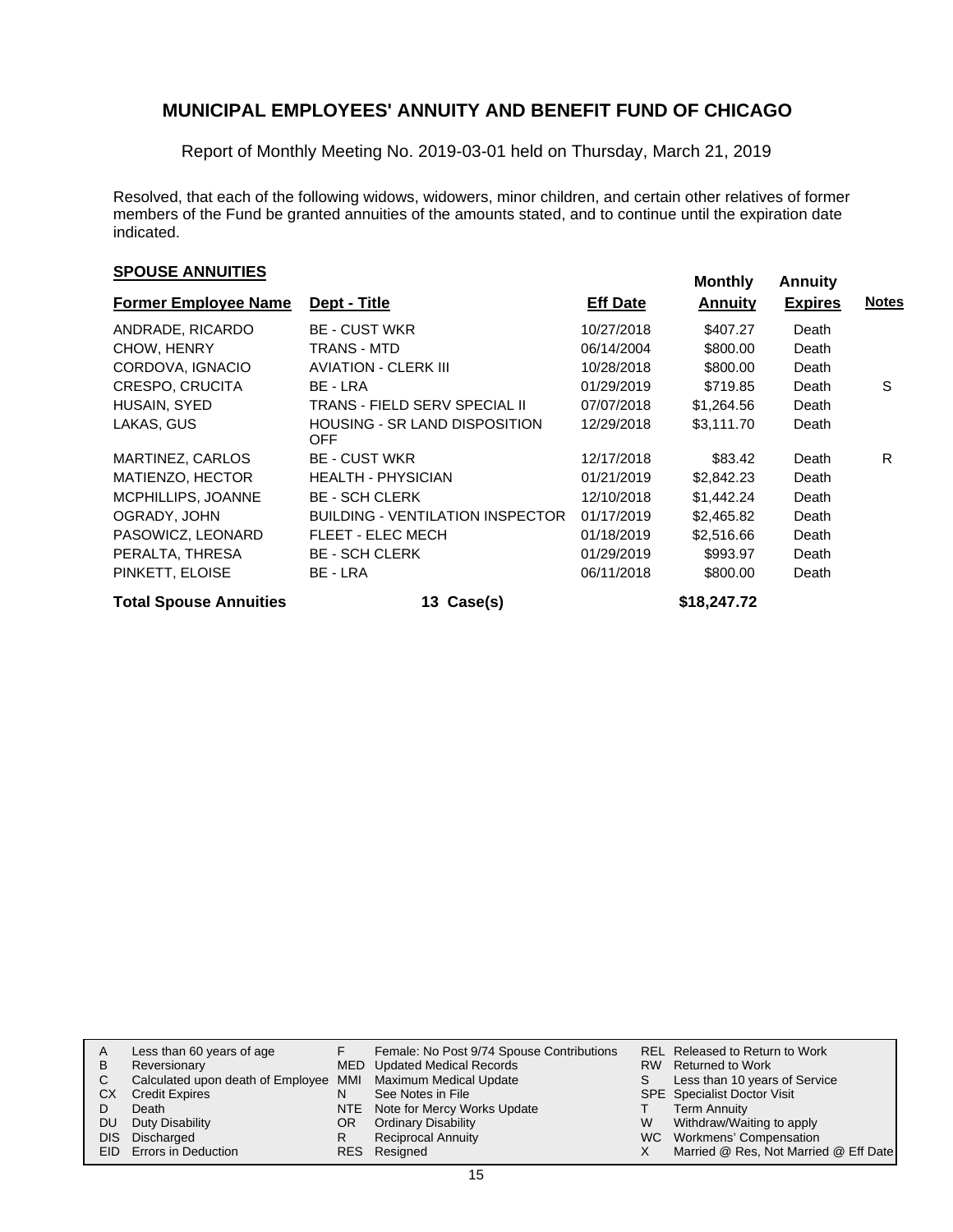Report of Monthly Meeting No. 2019-03-01 held on Thursday, March 21, 2019

Resolved, that each of the following widows, widowers, minor children, and certain other relatives of former members of the Fund be granted annuities of the amounts stated, and to continue until the expiration date indicated.

# **SPOUSE ANNUITIES**<br> **SPOUSE ANNUITIES**

| <b>Former Employee Name</b>   | Dept - Title                                       | <b>Eff Date</b> | <b>Annuity</b> | <b>Expires</b> | <b>Notes</b> |
|-------------------------------|----------------------------------------------------|-----------------|----------------|----------------|--------------|
| ANDRADE, RICARDO              | <b>BE - CUST WKR</b>                               | 10/27/2018      | \$407.27       | Death          |              |
| CHOW, HENRY                   | TRANS - MTD                                        | 06/14/2004      | \$800.00       | Death          |              |
| CORDOVA, IGNACIO              | <b>AVIATION - CLERK III</b>                        | 10/28/2018      | \$800.00       | Death          |              |
| <b>CRESPO, CRUCITA</b>        | BE - LRA                                           | 01/29/2019      | \$719.85       | Death          | S            |
| HUSAIN, SYED                  | TRANS - FIELD SERV SPECIAL II                      | 07/07/2018      | \$1,264.56     | Death          |              |
| LAKAS, GUS                    | <b>HOUSING - SR LAND DISPOSITION</b><br><b>OFF</b> | 12/29/2018      | \$3,111.70     | Death          |              |
| MARTINEZ, CARLOS              | <b>BE - CUST WKR</b>                               | 12/17/2018      | \$83.42        | Death          | R.           |
| MATIENZO, HECTOR              | <b>HEALTH - PHYSICIAN</b>                          | 01/21/2019      | \$2,842.23     | Death          |              |
| MCPHILLIPS, JOANNE            | <b>BE - SCH CLERK</b>                              | 12/10/2018      | \$1,442.24     | Death          |              |
| OGRADY, JOHN                  | <b>BUILDING - VENTILATION INSPECTOR</b>            | 01/17/2019      | \$2,465.82     | Death          |              |
| PASOWICZ, LEONARD             | FLEET - ELEC MECH                                  | 01/18/2019      | \$2,516.66     | Death          |              |
| PERALTA, THRESA               | <b>BE - SCH CLERK</b>                              | 01/29/2019      | \$993.97       | Death          |              |
| PINKETT, ELOISE               | BE - LRA                                           | 06/11/2018      | \$800.00       | Death          |              |
| <b>Total Spouse Annuities</b> | 13 Case(s)                                         |                 | \$18,247.72    |                |              |

|    | Less than 60 years of age                                    |     | Female: No Post 9/74 Spouse Contributions |   | REL Released to Return to Work        |
|----|--------------------------------------------------------------|-----|-------------------------------------------|---|---------------------------------------|
| в  | Reversionary                                                 |     | MED Updated Medical Records               |   | RW Returned to Work                   |
| C  | Calculated upon death of Employee MMI Maximum Medical Update |     |                                           |   | Less than 10 years of Service         |
| СX | <b>Credit Expires</b>                                        |     | See Notes in File                         |   | <b>SPE</b> Specialist Doctor Visit    |
|    | Death                                                        |     | NTE Note for Mercy Works Update           |   | <b>Term Annuity</b>                   |
| DU | Duty Disability                                              | OR. | <b>Ordinary Disability</b>                | W | Withdraw/Waiting to apply             |
|    | DIS Discharged                                               | R   | <b>Reciprocal Annuity</b>                 |   | WC Workmens' Compensation             |
|    | EID Errors in Deduction                                      |     | RES Resigned                              |   | Married @ Res, Not Married @ Eff Date |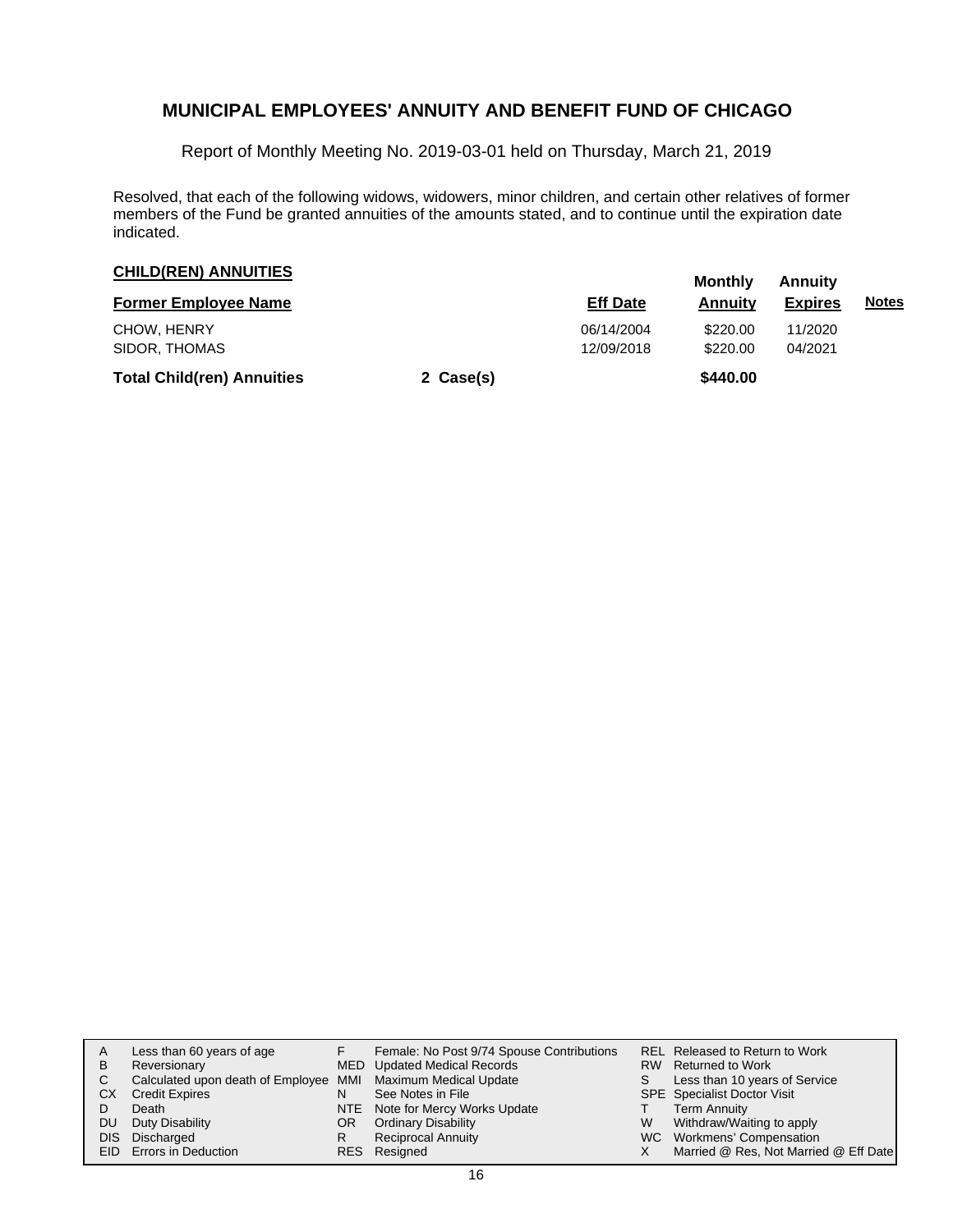Report of Monthly Meeting No. 2019-03-01 held on Thursday, March 21, 2019

Resolved, that each of the following widows, widowers, minor children, and certain other relatives of former members of the Fund be granted annuities of the amounts stated, and to continue until the expiration date indicated.

| <b>CHILD(REN) ANNUITIES</b>       | Monthly   | Annuity                  |                      |                    |              |
|-----------------------------------|-----------|--------------------------|----------------------|--------------------|--------------|
| <b>Former Employee Name</b>       |           | <b>Eff Date</b>          | <b>Annuity</b>       | <b>Expires</b>     | <b>Notes</b> |
| CHOW, HENRY<br>SIDOR, THOMAS      |           | 06/14/2004<br>12/09/2018 | \$220.00<br>\$220.00 | 11/2020<br>04/2021 |              |
| <b>Total Child(ren) Annuities</b> | 2 Case(s) |                          | \$440.00             |                    |              |

| в<br>C.<br>CХ<br>DU | Less than 60 years of age<br>Reversionary<br>Calculated upon death of Employee MMI Maximum Medical Update<br><b>Credit Expires</b><br>Death<br>Duty Disability<br>DIS Discharged<br>EID Errors in Deduction | OR<br>R | Female: No Post 9/74 Spouse Contributions<br>MED Updated Medical Records<br>See Notes in File<br>NTE Note for Mercy Works Update<br><b>Ordinary Disability</b><br><b>Reciprocal Annuity</b><br>RES Resigned | W | REL Released to Return to Work<br>RW Returned to Work<br>Less than 10 years of Service<br>SPE Specialist Doctor Visit<br><b>Term Annuity</b><br>Withdraw/Waiting to apply<br>WC Workmens' Compensation<br>Married @ Res, Not Married @ Eff Date |
|---------------------|-------------------------------------------------------------------------------------------------------------------------------------------------------------------------------------------------------------|---------|-------------------------------------------------------------------------------------------------------------------------------------------------------------------------------------------------------------|---|-------------------------------------------------------------------------------------------------------------------------------------------------------------------------------------------------------------------------------------------------|
|---------------------|-------------------------------------------------------------------------------------------------------------------------------------------------------------------------------------------------------------|---------|-------------------------------------------------------------------------------------------------------------------------------------------------------------------------------------------------------------|---|-------------------------------------------------------------------------------------------------------------------------------------------------------------------------------------------------------------------------------------------------|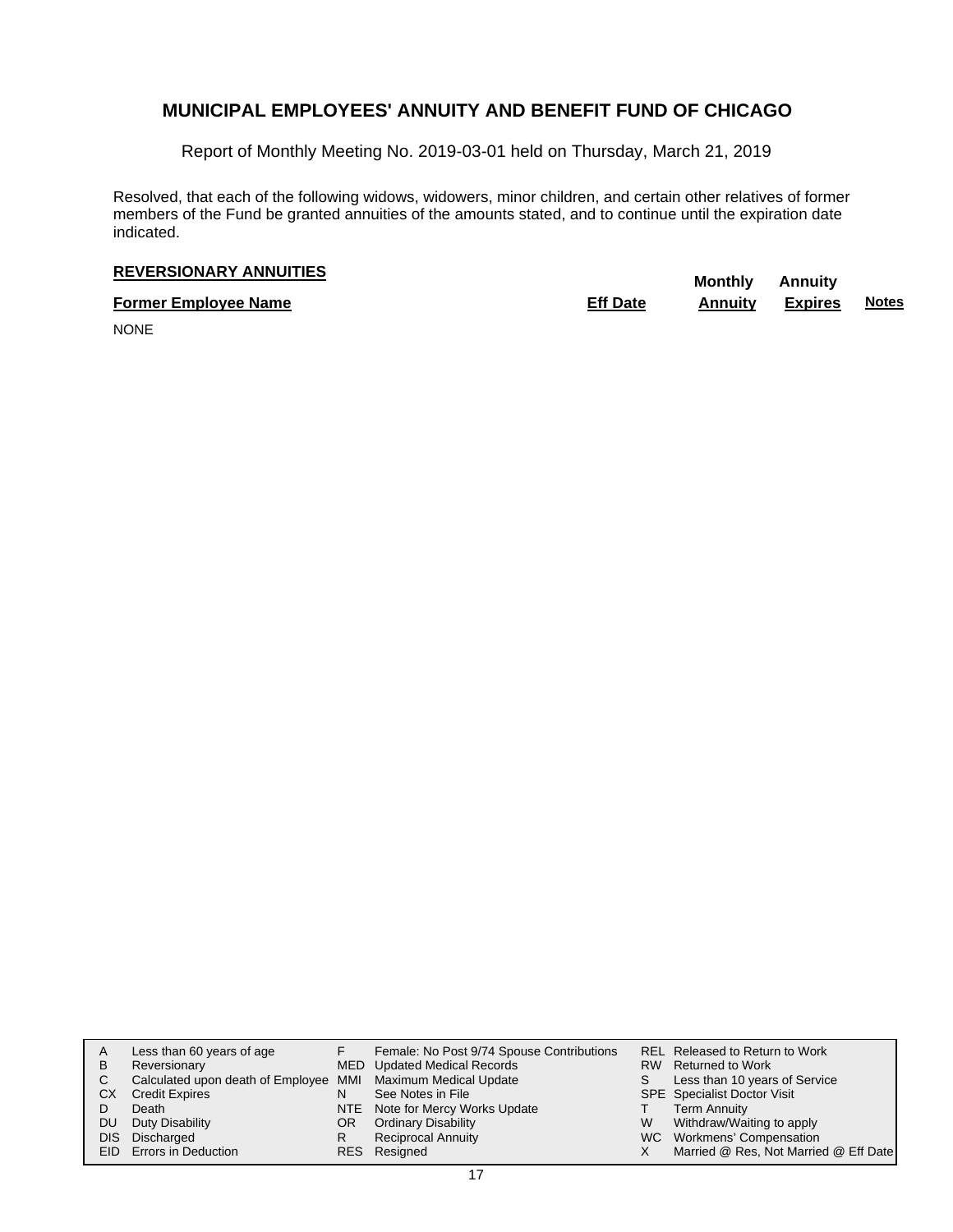Report of Monthly Meeting No. 2019-03-01 held on Thursday, March 21, 2019

Resolved, that each of the following widows, widowers, minor children, and certain other relatives of former members of the Fund be granted annuities of the amounts stated, and to continue until the expiration date indicated.

# **REVERSIONARY ANNUITIES** Monthly Annuity

**Former Employee Name Eff Date Annuity Expires Notes**

NONE

| A    | Less than 60 years of age                                    |    | Female: No Post 9/74 Spouse Contributions |    | REL Released to Return to Work        |
|------|--------------------------------------------------------------|----|-------------------------------------------|----|---------------------------------------|
| B    | Reversionary                                                 |    | MED Updated Medical Records               |    | RW Returned to Work                   |
| C.   | Calculated upon death of Employee MMI Maximum Medical Update |    |                                           | S. | Less than 10 years of Service         |
| CХ   | <b>Credit Expires</b>                                        | N  | See Notes in File                         |    | SPE Specialist Doctor Visit           |
|      | Death                                                        |    | NTE Note for Mercy Works Update           |    | <b>Term Annuity</b>                   |
| DU.  | Duty Disability                                              | OR | <b>Ordinary Disability</b>                | W  | Withdraw/Waiting to apply             |
| DIS. | Discharged                                                   | R  | <b>Reciprocal Annuity</b>                 |    | WC Workmens' Compensation             |
|      | <b>EID</b> Errors in Deduction                               |    | RES Resigned                              |    | Married @ Res, Not Married @ Eff Date |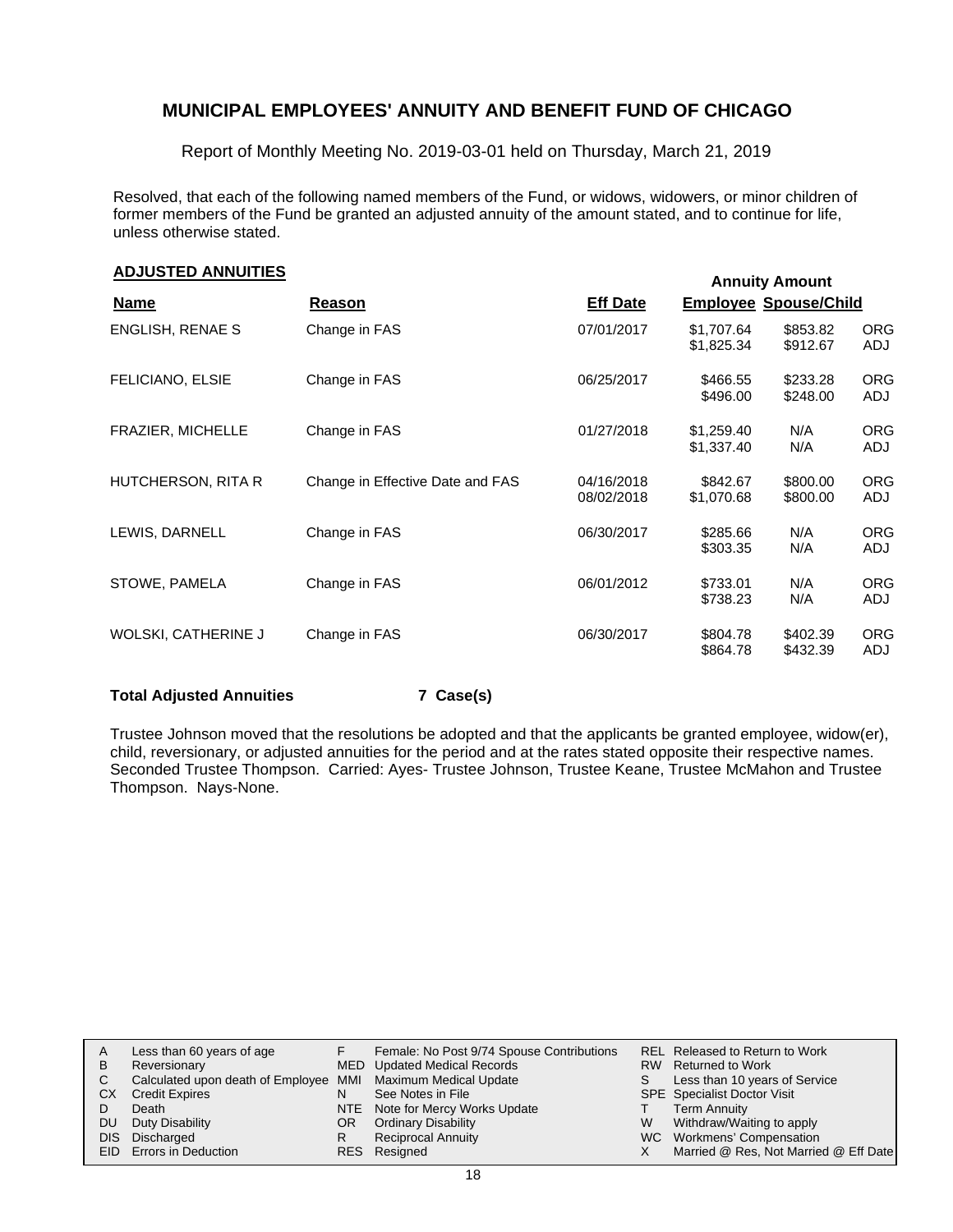Report of Monthly Meeting No. 2019-03-01 held on Thursday, March 21, 2019

Resolved, that each of the following named members of the Fund, or widows, widowers, or minor children of former members of the Fund be granted an adjusted annuity of the amount stated, and to continue for life, unless otherwise stated.

# **Annuity Amount ADJUSTED ANNUITIES**

|                     |                                  |                          |                              | ARRIVILY ARRIVILLE   |                   |
|---------------------|----------------------------------|--------------------------|------------------------------|----------------------|-------------------|
| <b>Name</b>         | Reason                           | <b>Eff Date</b>          | <b>Employee Spouse/Child</b> |                      |                   |
| ENGLISH, RENAE S    | Change in FAS                    | 07/01/2017               | \$1,707.64<br>\$1,825.34     | \$853.82<br>\$912.67 | <b>ORG</b><br>ADJ |
| FELICIANO, ELSIE    | Change in FAS                    | 06/25/2017               | \$466.55<br>\$496.00         | \$233.28<br>\$248.00 | <b>ORG</b><br>ADJ |
| FRAZIER, MICHELLE   | Change in FAS                    | 01/27/2018               | \$1,259.40<br>\$1,337.40     | N/A<br>N/A           | <b>ORG</b><br>ADJ |
| HUTCHERSON, RITA R  | Change in Effective Date and FAS | 04/16/2018<br>08/02/2018 | \$842.67<br>\$1,070.68       | \$800.00<br>\$800.00 | <b>ORG</b><br>ADJ |
| LEWIS, DARNELL      | Change in FAS                    | 06/30/2017               | \$285.66<br>\$303.35         | N/A<br>N/A           | <b>ORG</b><br>ADJ |
| STOWE, PAMELA       | Change in FAS                    | 06/01/2012               | \$733.01<br>\$738.23         | N/A<br>N/A           | <b>ORG</b><br>ADJ |
| WOLSKI, CATHERINE J | Change in FAS                    | 06/30/2017               | \$804.78<br>\$864.78         | \$402.39<br>\$432.39 | <b>ORG</b><br>ADJ |

#### **Total Adjusted Annuities 7 Case(s)**

Trustee Johnson moved that the resolutions be adopted and that the applicants be granted employee, widow(er), child, reversionary, or adjusted annuities for the period and at the rates stated opposite their respective names. Seconded Trustee Thompson. Carried: Ayes- Trustee Johnson, Trustee Keane, Trustee McMahon and Trustee Thompson. Nays-None.

|     | Less than 60 years of age                                    |     | Female: No Post 9/74 Spouse Contributions |    | <b>REL Released to Return to Work</b> |
|-----|--------------------------------------------------------------|-----|-------------------------------------------|----|---------------------------------------|
| B   | Reversionary                                                 |     | MED Updated Medical Records               |    | RW Returned to Work                   |
| C.  | Calculated upon death of Employee MMI Maximum Medical Update |     |                                           | S. | Less than 10 years of Service         |
| CX  | <b>Credit Expires</b>                                        | N   | See Notes in File                         |    | <b>SPE</b> Specialist Doctor Visit    |
|     | Death                                                        |     | NTE Note for Mercy Works Update           |    | Term Annuity                          |
| DU. | Duty Disability                                              | OR. | <b>Ordinary Disability</b>                | W  | Withdraw/Waiting to apply             |
|     | DIS Discharged                                               |     | <b>Reciprocal Annuity</b>                 |    | WC Workmens' Compensation             |
|     | EID Errors in Deduction                                      |     | RES Resigned                              |    | Married @ Res, Not Married @ Eff Date |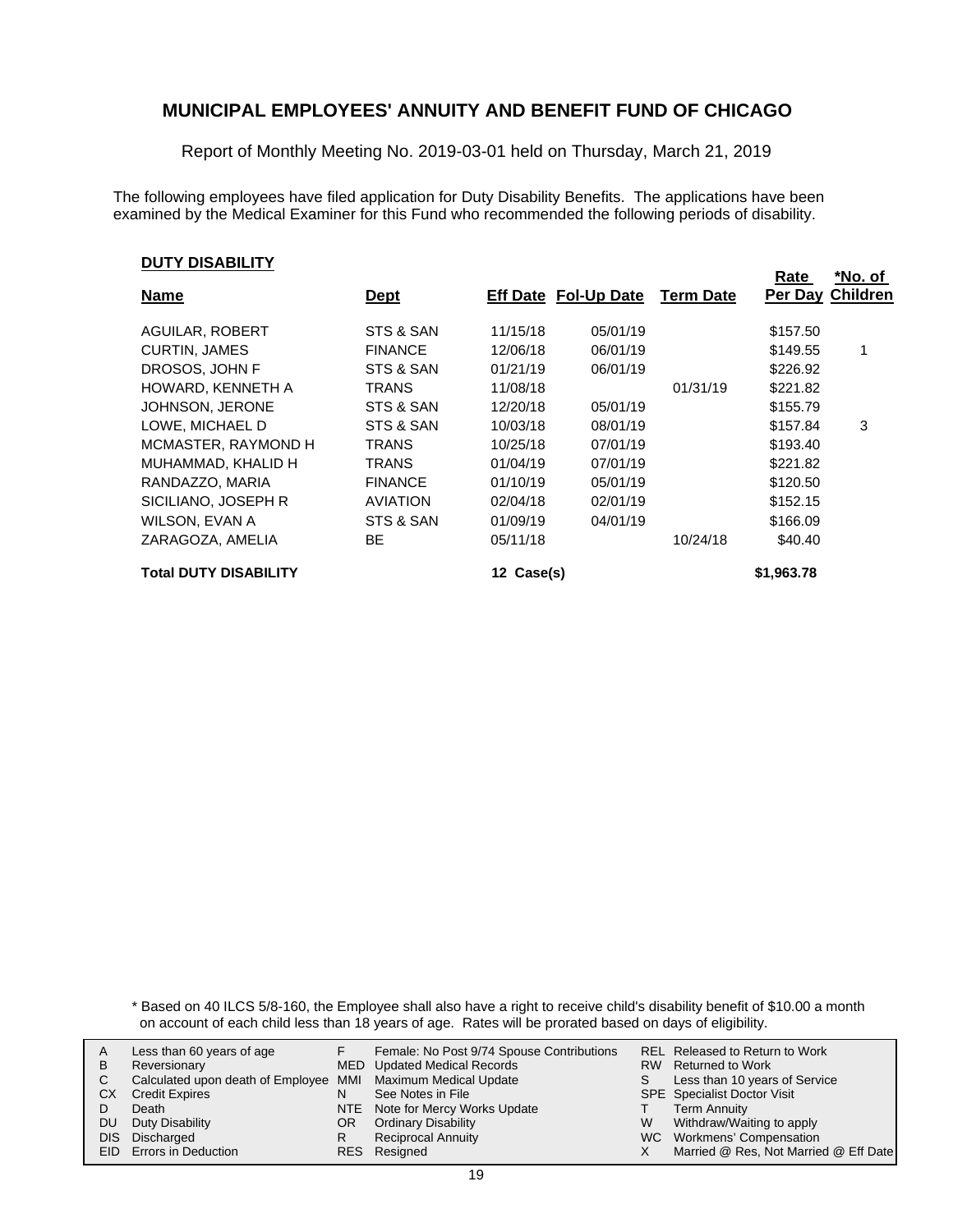Report of Monthly Meeting No. 2019-03-01 held on Thursday, March 21, 2019

The following employees have filed application for Duty Disability Benefits. The applications have been examined by the Medical Examiner for this Fund who recommended the following periods of disability.

#### **DUTY DISABILITY**

|                 |                                                                                                                                              |                                    |                  | *No. of         |
|-----------------|----------------------------------------------------------------------------------------------------------------------------------------------|------------------------------------|------------------|-----------------|
| <u>Dept</u>     |                                                                                                                                              |                                    | Per Day          | <b>Children</b> |
| STS & SAN       | 05/01/19                                                                                                                                     |                                    | \$157.50         |                 |
| <b>FINANCE</b>  | 06/01/19                                                                                                                                     |                                    | \$149.55         | 1               |
| STS & SAN       | 06/01/19                                                                                                                                     |                                    | \$226.92         |                 |
| TRANS           |                                                                                                                                              | 01/31/19                           | \$221.82         |                 |
| STS & SAN       | 05/01/19                                                                                                                                     |                                    | \$155.79         |                 |
| STS & SAN       | 08/01/19                                                                                                                                     |                                    | \$157.84         | 3               |
| <b>TRANS</b>    | 07/01/19                                                                                                                                     |                                    | \$193.40         |                 |
| <b>TRANS</b>    | 07/01/19                                                                                                                                     |                                    | \$221.82         |                 |
| <b>FINANCE</b>  | 05/01/19                                                                                                                                     |                                    | \$120.50         |                 |
| <b>AVIATION</b> | 02/01/19                                                                                                                                     |                                    | \$152.15         |                 |
| STS & SAN       | 04/01/19                                                                                                                                     |                                    | \$166.09         |                 |
| BE              |                                                                                                                                              | 10/24/18                           | \$40.40          |                 |
|                 |                                                                                                                                              |                                    | \$1,963.78       |                 |
|                 | 11/15/18<br>12/06/18<br>01/21/19<br>11/08/18<br>12/20/18<br>10/03/18<br>10/25/18<br>01/04/19<br>01/10/19<br>02/04/18<br>01/09/19<br>05/11/18 | Eff Date Fol-Up Date<br>12 Case(s) | <b>Term Date</b> | Rate            |

\* Based on 40 ILCS 5/8-160, the Employee shall also have a right to receive child's disability benefit of \$10.00 a month on account of each child less than 18 years of age. Rates will be prorated based on days of eligibility.

|      | Less than 60 years of age                                    |     | Female: No Post 9/74 Spouse Contributions |   | REL Released to Return to Work        |
|------|--------------------------------------------------------------|-----|-------------------------------------------|---|---------------------------------------|
| В    | Reversionary                                                 |     | MED Updated Medical Records               |   | RW Returned to Work                   |
|      |                                                              |     |                                           |   |                                       |
|      | Calculated upon death of Employee MMI Maximum Medical Update |     |                                           | S | Less than 10 years of Service         |
| СX   | <b>Credit Expires</b>                                        | N   | See Notes in File                         |   | <b>SPE</b> Specialist Doctor Visit    |
|      | Death                                                        |     | NTE Note for Mercy Works Update           |   | <b>Term Annuity</b>                   |
| DU   | Duty Disability                                              | OR. | <b>Ordinary Disability</b>                | W | Withdraw/Waiting to apply             |
| DIS. | Discharged                                                   |     | <b>Reciprocal Annuity</b>                 |   | WC Workmens' Compensation             |
|      | <b>EID</b> Errors in Deduction                               |     | RES Resigned                              |   | Married @ Res, Not Married @ Eff Date |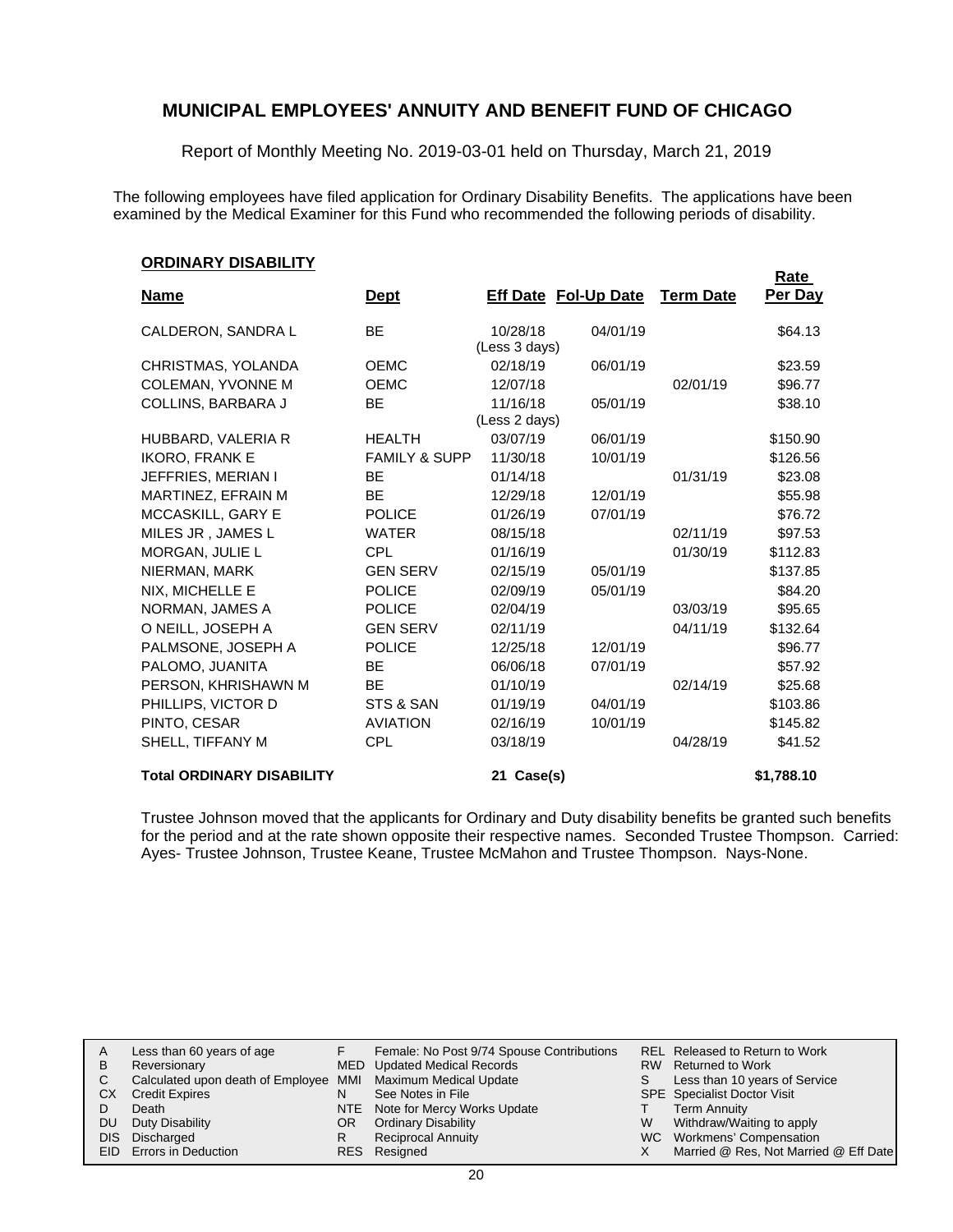Report of Monthly Meeting No. 2019-03-01 held on Thursday, March 21, 2019

The following employees have filed application for Ordinary Disability Benefits. The applications have been examined by the Medical Examiner for this Fund who recommended the following periods of disability.

#### **ORDINARY DISABILITY**

| <u>UNDINANT DIJADILITT</u>       |                          |                           |                             |                  | Rate       |
|----------------------------------|--------------------------|---------------------------|-----------------------------|------------------|------------|
| <u>Name</u>                      | <u>Dept</u>              |                           | <b>Eff Date Fol-Up Date</b> | <b>Term Date</b> | Per Day    |
| CALDERON, SANDRA L               | BE.                      | 10/28/18<br>(Less 3 days) | 04/01/19                    |                  | \$64.13    |
| CHRISTMAS, YOLANDA               | <b>OEMC</b>              | 02/18/19                  | 06/01/19                    |                  | \$23.59    |
| <b>COLEMAN, YVONNE M</b>         | <b>OEMC</b>              | 12/07/18                  |                             | 02/01/19         | \$96.77    |
| COLLINS, BARBARA J               | <b>BE</b>                | 11/16/18                  | 05/01/19                    |                  | \$38.10    |
|                                  |                          | (Less 2 days)             |                             |                  |            |
| HUBBARD, VALERIA R               | <b>HEALTH</b>            | 03/07/19                  | 06/01/19                    |                  | \$150.90   |
| <b>IKORO, FRANK E</b>            | <b>FAMILY &amp; SUPP</b> | 11/30/18                  | 10/01/19                    |                  | \$126.56   |
| JEFFRIES, MERIAN I               | <b>BE</b>                | 01/14/18                  |                             | 01/31/19         | \$23.08    |
| MARTINEZ, EFRAIN M               | <b>BE</b>                | 12/29/18                  | 12/01/19                    |                  | \$55.98    |
| MCCASKILL, GARY E                | <b>POLICE</b>            | 01/26/19                  | 07/01/19                    |                  | \$76.72    |
| MILES JR, JAMES L                | <b>WATER</b>             | 08/15/18                  |                             | 02/11/19         | \$97.53    |
| MORGAN, JULIE L                  | <b>CPL</b>               | 01/16/19                  |                             | 01/30/19         | \$112.83   |
| NIERMAN, MARK                    | <b>GEN SERV</b>          | 02/15/19                  | 05/01/19                    |                  | \$137.85   |
| NIX. MICHELLE E                  | <b>POLICE</b>            | 02/09/19                  | 05/01/19                    |                  | \$84.20    |
| NORMAN, JAMES A                  | <b>POLICE</b>            | 02/04/19                  |                             | 03/03/19         | \$95.65    |
| O NEILL, JOSEPH A                | <b>GEN SERV</b>          | 02/11/19                  |                             | 04/11/19         | \$132.64   |
| PALMSONE, JOSEPH A               | <b>POLICE</b>            | 12/25/18                  | 12/01/19                    |                  | \$96.77    |
| PALOMO, JUANITA                  | <b>BE</b>                | 06/06/18                  | 07/01/19                    |                  | \$57.92    |
| PERSON, KHRISHAWN M              | <b>BE</b>                | 01/10/19                  |                             | 02/14/19         | \$25.68    |
| PHILLIPS, VICTOR D               | STS & SAN                | 01/19/19                  | 04/01/19                    |                  | \$103.86   |
| PINTO, CESAR                     | <b>AVIATION</b>          | 02/16/19                  | 10/01/19                    |                  | \$145.82   |
| SHELL, TIFFANY M                 | <b>CPL</b>               | 03/18/19                  |                             | 04/28/19         | \$41.52    |
| <b>Total ORDINARY DISABILITY</b> |                          | 21 Case(s)                |                             |                  | \$1,788.10 |

Trustee Johnson moved that the applicants for Ordinary and Duty disability benefits be granted such benefits for the period and at the rate shown opposite their respective names. Seconded Trustee Thompson. Carried: Ayes- Trustee Johnson, Trustee Keane, Trustee McMahon and Trustee Thompson. Nays-None.

| A   | Less than 60 years of age                                    |     | Female: No Post 9/74 Spouse Contributions |    | REL Released to Return to Work        |
|-----|--------------------------------------------------------------|-----|-------------------------------------------|----|---------------------------------------|
| B   | Reversionary                                                 |     | MED Updated Medical Records               |    | RW Returned to Work                   |
| C.  | Calculated upon death of Employee MMI Maximum Medical Update |     |                                           | S. | Less than 10 years of Service         |
| СX  | <b>Credit Expires</b>                                        | N   | See Notes in File                         |    | SPE Specialist Doctor Visit           |
|     | Death                                                        |     | NTE Note for Mercy Works Update           |    | Term Annuity                          |
| DU. | Duty Disability                                              | OR. | <b>Ordinary Disability</b>                | W  | Withdraw/Waiting to apply             |
|     | DIS Discharged                                               |     | <b>Reciprocal Annuity</b>                 |    | WC Workmens' Compensation             |
|     | EID Errors in Deduction                                      |     | RES Resigned                              |    | Married @ Res, Not Married @ Eff Date |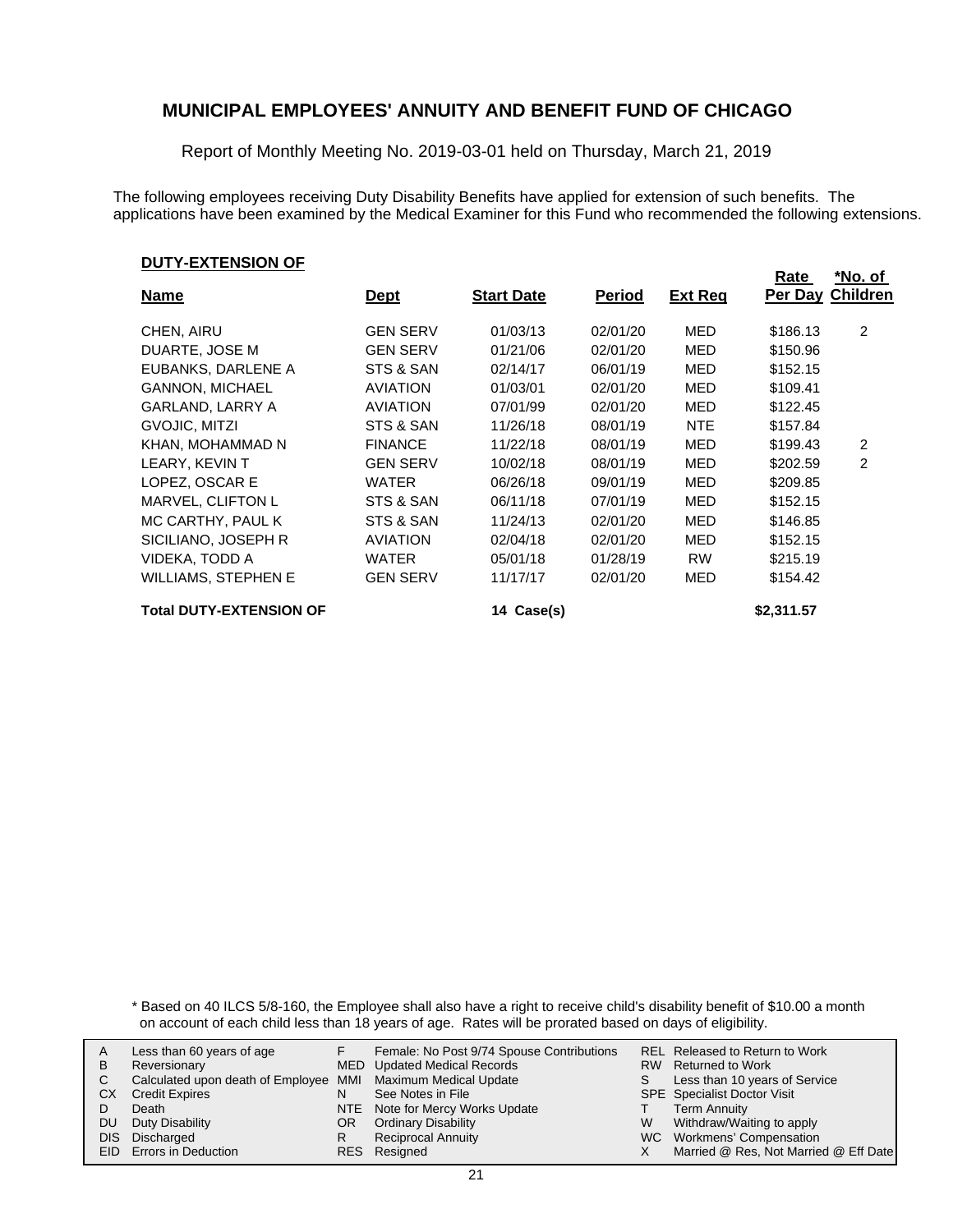Report of Monthly Meeting No. 2019-03-01 held on Thursday, March 21, 2019

The following employees receiving Duty Disability Benefits have applied for extension of such benefits. The applications have been examined by the Medical Examiner for this Fund who recommended the following extensions.

#### **DUTY-EXTENSION OF**

|                                |                 |                   |               |                | Rate       | *No. of                 |
|--------------------------------|-----------------|-------------------|---------------|----------------|------------|-------------------------|
| <b>Name</b>                    | <u>Dept</u>     | <b>Start Date</b> | <b>Period</b> | <b>Ext Req</b> |            | <b>Per Day Children</b> |
|                                |                 |                   |               |                |            |                         |
| CHEN, AIRU                     | <b>GEN SERV</b> | 01/03/13          | 02/01/20      | MED            | \$186.13   | $\overline{2}$          |
| DUARTE, JOSE M                 | <b>GEN SERV</b> | 01/21/06          | 02/01/20      | MED            | \$150.96   |                         |
| EUBANKS, DARLENE A             | STS & SAN       | 02/14/17          | 06/01/19      | MED            | \$152.15   |                         |
| <b>GANNON. MICHAEL</b>         | <b>AVIATION</b> | 01/03/01          | 02/01/20      | MED            | \$109.41   |                         |
| GARLAND, LARRY A               | <b>AVIATION</b> | 07/01/99          | 02/01/20      | MED            | \$122.45   |                         |
| GVOJIC, MITZI                  | STS & SAN       | 11/26/18          | 08/01/19      | NTE.           | \$157.84   |                         |
| KHAN, MOHAMMAD N               | <b>FINANCE</b>  | 11/22/18          | 08/01/19      | MED            | \$199.43   | $\overline{2}$          |
| LEARY, KEVIN T                 | <b>GEN SERV</b> | 10/02/18          | 08/01/19      | MED            | \$202.59   | 2                       |
| LOPEZ, OSCAR E                 | WATER           | 06/26/18          | 09/01/19      | MED            | \$209.85   |                         |
| MARVEL, CLIFTON L              | STS & SAN       | 06/11/18          | 07/01/19      | MED            | \$152.15   |                         |
| MC CARTHY, PAUL K              | STS & SAN       | 11/24/13          | 02/01/20      | MED            | \$146.85   |                         |
| SICILIANO, JOSEPH R            | <b>AVIATION</b> | 02/04/18          | 02/01/20      | MED            | \$152.15   |                         |
| VIDEKA, TODD A                 | <b>WATER</b>    | 05/01/18          | 01/28/19      | <b>RW</b>      | \$215.19   |                         |
| <b>WILLIAMS, STEPHEN E</b>     | <b>GEN SERV</b> | 11/17/17          | 02/01/20      | MED            | \$154.42   |                         |
| <b>Total DUTY-EXTENSION OF</b> |                 | 14 Case(s)        |               |                | \$2,311.57 |                         |

\* Based on 40 ILCS 5/8-160, the Employee shall also have a right to receive child's disability benefit of \$10.00 a month on account of each child less than 18 years of age. Rates will be prorated based on days of eligibility.

|    | Less than 60 years of age                                    |    | Female: No Post 9/74 Spouse Contributions |    | REL Released to Return to Work        |
|----|--------------------------------------------------------------|----|-------------------------------------------|----|---------------------------------------|
|    |                                                              |    |                                           |    |                                       |
| В  | Reversionary                                                 |    | MED Updated Medical Records               |    | RW Returned to Work                   |
|    | Calculated upon death of Employee MMI Maximum Medical Update |    |                                           | S. | Less than 10 years of Service         |
| СX | <b>Credit Expires</b>                                        | N  | See Notes in File                         |    | <b>SPE</b> Specialist Doctor Visit    |
|    | Death                                                        |    | NTE Note for Mercy Works Update           |    | <b>Term Annuity</b>                   |
| DU | Duty Disability                                              | OR | <b>Ordinary Disability</b>                | W  | Withdraw/Waiting to apply             |
|    | DIS Discharged                                               |    | <b>Reciprocal Annuity</b>                 |    | WC Workmens' Compensation             |
|    | EID Errors in Deduction                                      |    | RES Resigned                              |    | Married @ Res, Not Married @ Eff Date |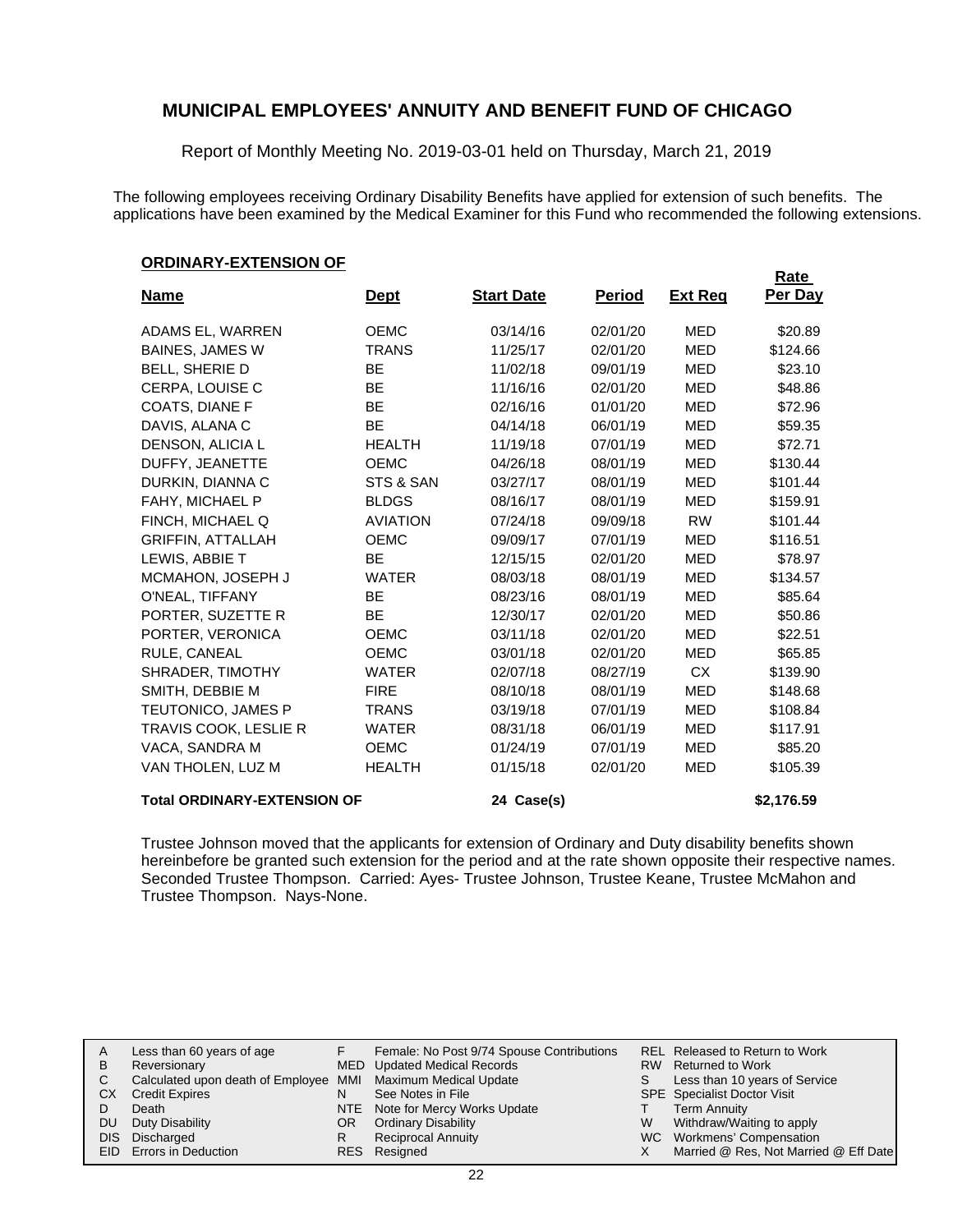Report of Monthly Meeting No. 2019-03-01 held on Thursday, March 21, 2019

The following employees receiving Ordinary Disability Benefits have applied for extension of such benefits. The applications have been examined by the Medical Examiner for this Fund who recommended the following extensions.

#### **ORDINARY-EXTENSION OF**

| - - - - - - - -                    |                 |                   |               |                | Rate       |
|------------------------------------|-----------------|-------------------|---------------|----------------|------------|
| <u>Name</u>                        | <u>Dept</u>     | <b>Start Date</b> | <u>Period</u> | <b>Ext Req</b> | Per Day    |
| ADAMS EL, WARREN                   | <b>OEMC</b>     | 03/14/16          | 02/01/20      | <b>MED</b>     | \$20.89    |
| <b>BAINES, JAMES W</b>             | TRANS           | 11/25/17          | 02/01/20      | <b>MED</b>     | \$124.66   |
| <b>BELL, SHERIE D</b>              | <b>BE</b>       | 11/02/18          | 09/01/19      | <b>MED</b>     | \$23.10    |
| CERPA, LOUISE C                    | <b>BE</b>       | 11/16/16          | 02/01/20      | <b>MED</b>     | \$48.86    |
| COATS, DIANE F                     | <b>BE</b>       | 02/16/16          | 01/01/20      | <b>MED</b>     | \$72.96    |
| DAVIS, ALANA C                     | BE              | 04/14/18          | 06/01/19      | <b>MED</b>     | \$59.35    |
| DENSON, ALICIA L                   | <b>HEALTH</b>   | 11/19/18          | 07/01/19      | <b>MED</b>     | \$72.71    |
| DUFFY, JEANETTE                    | <b>OEMC</b>     | 04/26/18          | 08/01/19      | <b>MED</b>     | \$130.44   |
| DURKIN, DIANNA C                   | STS & SAN       | 03/27/17          | 08/01/19      | <b>MED</b>     | \$101.44   |
| FAHY, MICHAEL P                    | <b>BLDGS</b>    | 08/16/17          | 08/01/19      | <b>MED</b>     | \$159.91   |
| FINCH, MICHAEL Q                   | <b>AVIATION</b> | 07/24/18          | 09/09/18      | <b>RW</b>      | \$101.44   |
| <b>GRIFFIN, ATTALLAH</b>           | <b>OEMC</b>     | 09/09/17          | 07/01/19      | <b>MED</b>     | \$116.51   |
| LEWIS, ABBIE T                     | <b>BE</b>       | 12/15/15          | 02/01/20      | <b>MED</b>     | \$78.97    |
| MCMAHON, JOSEPH J                  | <b>WATER</b>    | 08/03/18          | 08/01/19      | <b>MED</b>     | \$134.57   |
| O'NEAL, TIFFANY                    | <b>BE</b>       | 08/23/16          | 08/01/19      | <b>MED</b>     | \$85.64    |
| PORTER, SUZETTE R                  | <b>BE</b>       | 12/30/17          | 02/01/20      | <b>MED</b>     | \$50.86    |
| PORTER, VERONICA                   | <b>OEMC</b>     | 03/11/18          | 02/01/20      | <b>MED</b>     | \$22.51    |
| RULE, CANEAL                       | <b>OEMC</b>     | 03/01/18          | 02/01/20      | <b>MED</b>     | \$65.85    |
| SHRADER, TIMOTHY                   | <b>WATER</b>    | 02/07/18          | 08/27/19      | <b>CX</b>      | \$139.90   |
| SMITH, DEBBIE M                    | <b>FIRE</b>     | 08/10/18          | 08/01/19      | <b>MED</b>     | \$148.68   |
| <b>TEUTONICO, JAMES P</b>          | TRANS           | 03/19/18          | 07/01/19      | <b>MED</b>     | \$108.84   |
| TRAVIS COOK, LESLIE R              | <b>WATER</b>    | 08/31/18          | 06/01/19      | <b>MED</b>     | \$117.91   |
| VACA, SANDRA M                     | <b>OEMC</b>     | 01/24/19          | 07/01/19      | <b>MED</b>     | \$85.20    |
| VAN THOLEN, LUZ M                  | <b>HEALTH</b>   | 01/15/18          | 02/01/20      | <b>MED</b>     | \$105.39   |
| <b>Total ORDINARY-EXTENSION OF</b> |                 | 24 Case(s)        |               |                | \$2,176.59 |

Trustee Johnson moved that the applicants for extension of Ordinary and Duty disability benefits shown hereinbefore be granted such extension for the period and at the rate shown opposite their respective names. Seconded Trustee Thompson. Carried: Ayes- Trustee Johnson, Trustee Keane, Trustee McMahon and Trustee Thompson. Nays-None.

| A   | Less than 60 years of age                                    |     | Female: No Post 9/74 Spouse Contributions |    | REL Released to Return to Work        |
|-----|--------------------------------------------------------------|-----|-------------------------------------------|----|---------------------------------------|
| в   | Reversionary                                                 |     | MED Updated Medical Records               |    | RW Returned to Work                   |
| C.  | Calculated upon death of Employee MMI Maximum Medical Update |     |                                           | S. | Less than 10 years of Service         |
| CХ  | <b>Credit Expires</b>                                        | N   | See Notes in File                         |    | <b>SPE</b> Specialist Doctor Visit    |
|     | Death                                                        |     | NTE Note for Mercy Works Update           |    | <b>Term Annuity</b>                   |
| DU. | Duty Disability                                              | OR. | <b>Ordinary Disability</b>                | W  | Withdraw/Waiting to apply             |
|     | DIS Discharged                                               |     | <b>Reciprocal Annuity</b>                 |    | WC Workmens' Compensation             |
|     | EID Errors in Deduction                                      |     | RES Resigned                              |    | Married @ Res, Not Married @ Eff Date |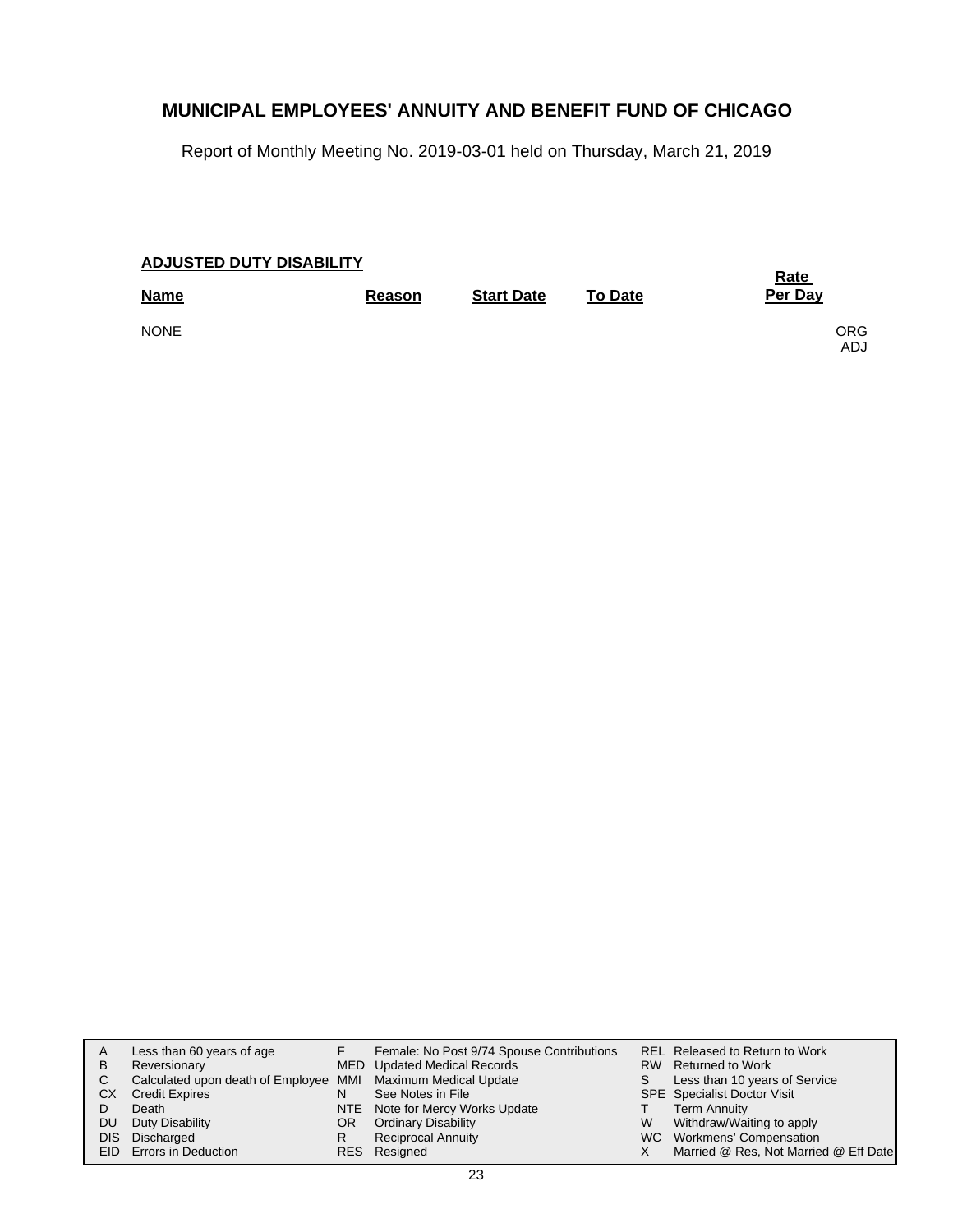Report of Monthly Meeting No. 2019-03-01 held on Thursday, March 21, 2019

### **Start Date Reason To Date Name Per Day ADJUSTED DUTY DISABILITY Rate**  NONE CONTRACT ON A SERVICE OF SALE OF SALE ORGANIZATION CONTRACT ON A SERVICE OF SALE OF SALE OF SALE OF SALE ADJ

| A    | Less than 60 years of age                                    |    | Female: No Post 9/74 Spouse Contributions |   | REL Released to Return to Work        |
|------|--------------------------------------------------------------|----|-------------------------------------------|---|---------------------------------------|
| В    | Reversionary                                                 |    | MED Updated Medical Records               |   | RW Returned to Work                   |
|      | Calculated upon death of Employee MMI Maximum Medical Update |    |                                           | S | Less than 10 years of Service         |
| СX   | <b>Credit Expires</b>                                        | N  | See Notes in File                         |   | <b>SPE</b> Specialist Doctor Visit    |
|      | Death                                                        |    | NTE Note for Mercy Works Update           |   | <b>Term Annuity</b>                   |
| DU   | Duty Disability                                              | OR | <b>Ordinary Disability</b>                | W | Withdraw/Waiting to apply             |
| DIS. | Discharged                                                   |    | <b>Reciprocal Annuity</b>                 |   | WC Workmens' Compensation             |
|      | EID Errors in Deduction                                      |    | RES Resigned                              |   | Married @ Res, Not Married @ Eff Date |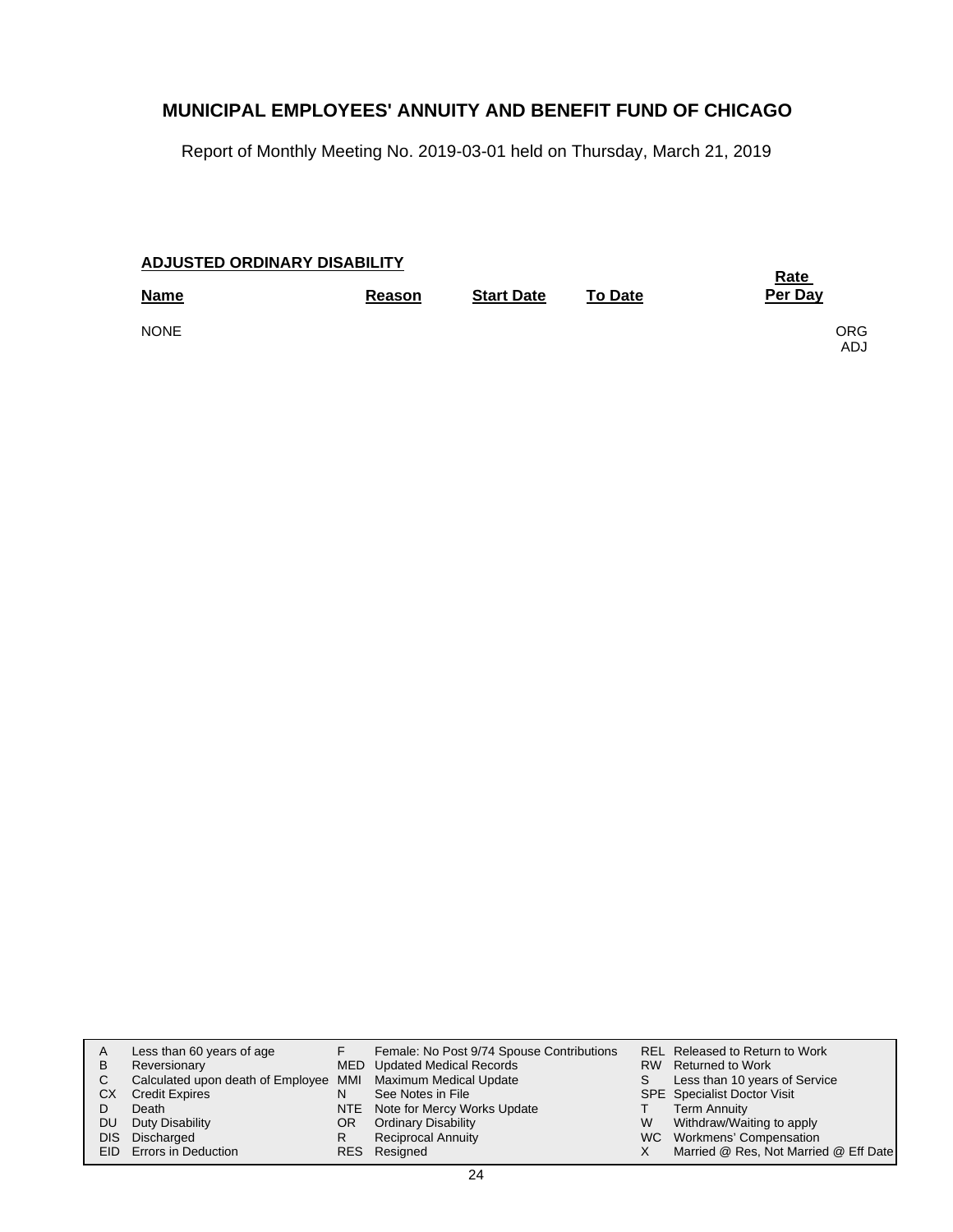Report of Monthly Meeting No. 2019-03-01 held on Thursday, March 21, 2019

| <b>ADJUSTED ORDINARY DISABILITY</b> |        | <b>Rate</b>       |                |         |                          |
|-------------------------------------|--------|-------------------|----------------|---------|--------------------------|
| <b>Name</b>                         | Reason | <b>Start Date</b> | <b>To Date</b> | Per Day |                          |
| <b>NONE</b>                         |        |                   |                |         | <b>ORG</b><br><b>ADJ</b> |

| A<br>B<br>СX | Less than 60 years of age<br>Reversionary<br>Calculated upon death of Employee MMI Maximum Medical Update<br><b>Credit Expires</b><br>Death | N        | Female: No Post 9/74 Spouse Contributions<br>MED Updated Medical Records<br>See Notes in File<br>NTE Note for Mercy Works Update | S. | REL Released to Return to Work<br>RW Returned to Work<br>Less than 10 years of Service<br><b>SPE</b> Specialist Doctor Visit<br><b>Term Annuity</b> |
|--------------|---------------------------------------------------------------------------------------------------------------------------------------------|----------|----------------------------------------------------------------------------------------------------------------------------------|----|-----------------------------------------------------------------------------------------------------------------------------------------------------|
| DU.          | Duty Disability<br>DIS Discharged<br><b>EID</b> Errors in Deduction                                                                         | OR.<br>R | <b>Ordinary Disability</b><br><b>Reciprocal Annuity</b><br>RES Resigned                                                          | W  | Withdraw/Waiting to apply<br>WC Workmens' Compensation<br>Married @ Res, Not Married @ Eff Date                                                     |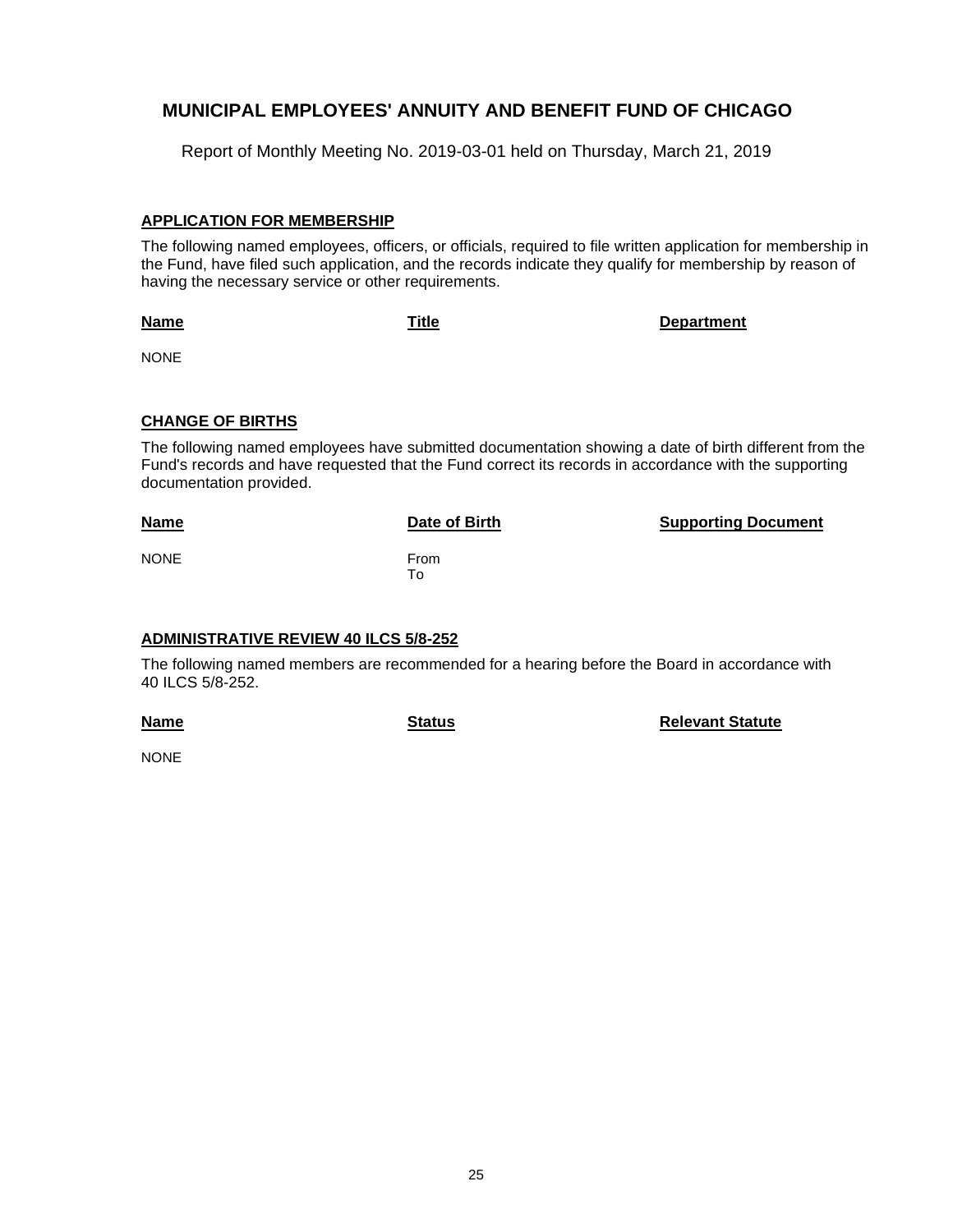Report of Monthly Meeting No. 2019-03-01 held on Thursday, March 21, 2019

### **APPLICATION FOR MEMBERSHIP**

The following named employees, officers, or officials, required to file written application for membership in the Fund, have filed such application, and the records indicate they qualify for membership by reason of having the necessary service or other requirements.

**Name**

**Title Department**

NONE

### **CHANGE OF BIRTHS**

The following named employees have submitted documentation showing a date of birth different from the Fund's records and have requested that the Fund correct its records in accordance with the supporting documentation provided.

**Date of Birth <b>Supporting Document** 

NONE From

# To

### **ADMINISTRATIVE REVIEW 40 ILCS 5/8-252**

The following named members are recommended for a hearing before the Board in accordance with 40 ILCS 5/8-252.

**Name**

**Status Relevant Statute**

**NONE**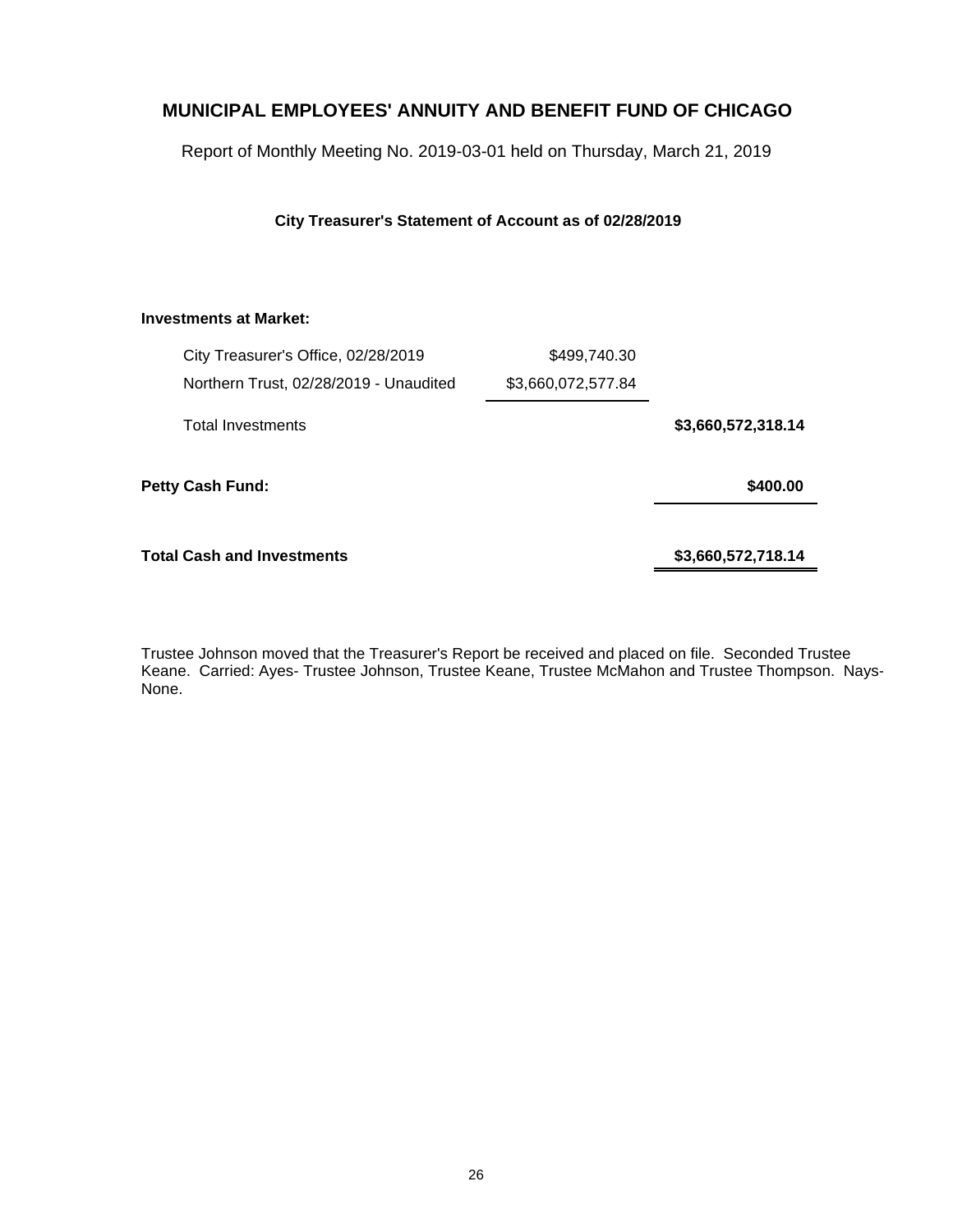Report of Monthly Meeting No. 2019-03-01 held on Thursday, March 21, 2019

**City Treasurer's Statement of Account as of 02/28/2019**

### **Investments at Market:**

| City Treasurer's Office, 02/28/2019    | \$499,740.30       |                    |
|----------------------------------------|--------------------|--------------------|
| Northern Trust, 02/28/2019 - Unaudited | \$3,660,072,577.84 |                    |
| <b>Total Investments</b>               |                    | \$3,660,572,318.14 |
| <b>Petty Cash Fund:</b>                |                    | \$400.00           |
| <b>Total Cash and Investments</b>      |                    | \$3,660,572,718.14 |

Trustee Johnson moved that the Treasurer's Report be received and placed on file. Seconded Trustee Keane. Carried: Ayes- Trustee Johnson, Trustee Keane, Trustee McMahon and Trustee Thompson. Nays-None.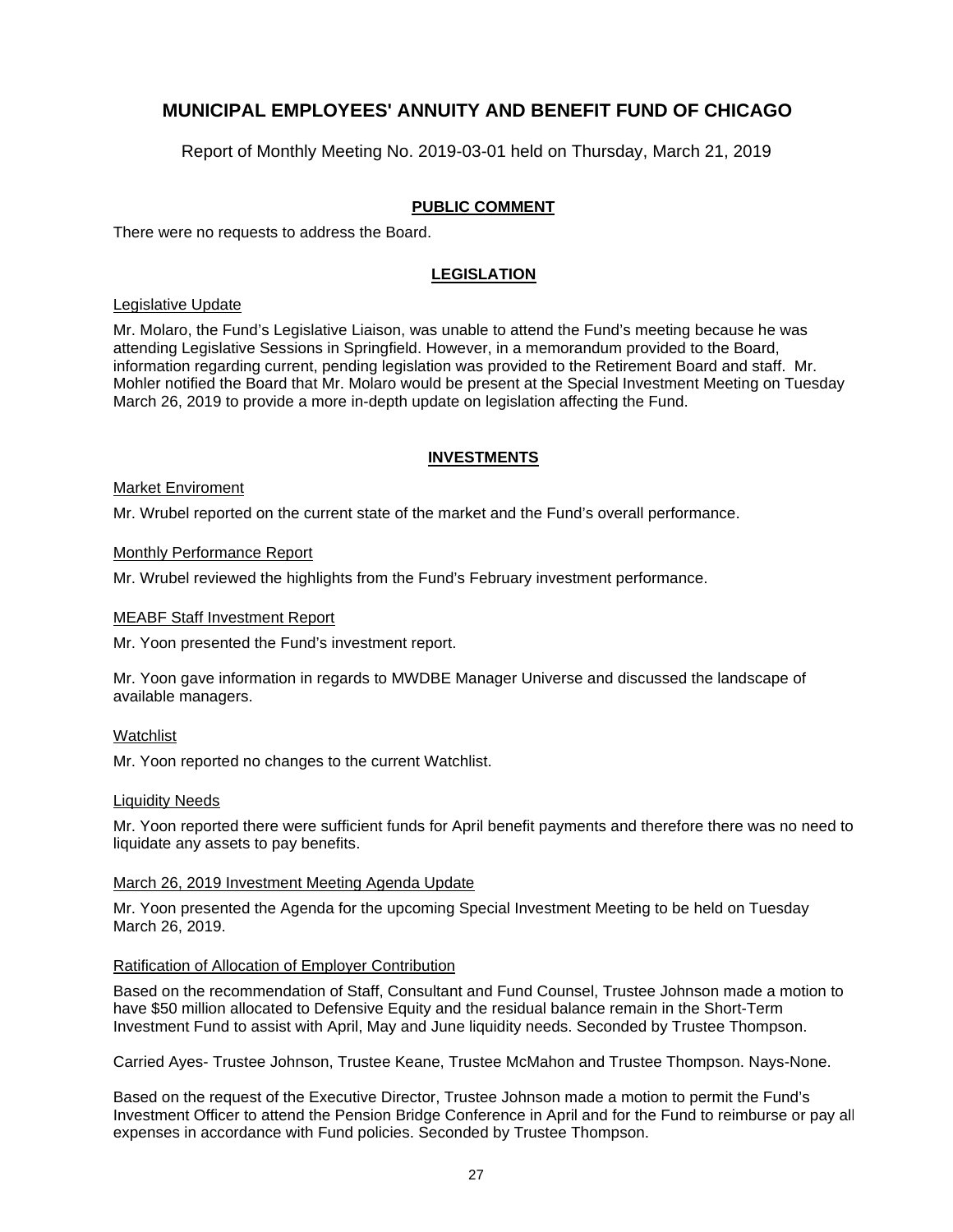Report of Monthly Meeting No. 2019-03-01 held on Thursday, March 21, 2019

### **PUBLIC COMMENT**

There were no requests to address the Board.

### **LEGISLATION**

#### Legislative Update

Mr. Molaro, the Fund's Legislative Liaison, was unable to attend the Fund's meeting because he was attending Legislative Sessions in Springfield. However, in a memorandum provided to the Board, information regarding current, pending legislation was provided to the Retirement Board and staff. Mr. Mohler notified the Board that Mr. Molaro would be present at the Special Investment Meeting on Tuesday March 26, 2019 to provide a more in-depth update on legislation affecting the Fund.

### **INVESTMENTS**

#### Market Enviroment

Mr. Wrubel reported on the current state of the market and the Fund's overall performance.

#### Monthly Performance Report

Mr. Wrubel reviewed the highlights from the Fund's February investment performance.

#### MEABF Staff Investment Report

Mr. Yoon presented the Fund's investment report.

Mr. Yoon gave information in regards to MWDBE Manager Universe and discussed the landscape of available managers.

#### Watchlist

Mr. Yoon reported no changes to the current Watchlist.

#### Liquidity Needs

Mr. Yoon reported there were sufficient funds for April benefit payments and therefore there was no need to liquidate any assets to pay benefits.

#### March 26, 2019 Investment Meeting Agenda Update

Mr. Yoon presented the Agenda for the upcoming Special Investment Meeting to be held on Tuesday March 26, 2019.

#### Ratification of Allocation of Employer Contribution

Based on the recommendation of Staff, Consultant and Fund Counsel, Trustee Johnson made a motion to have \$50 million allocated to Defensive Equity and the residual balance remain in the Short-Term Investment Fund to assist with April, May and June liquidity needs. Seconded by Trustee Thompson.

Carried Ayes- Trustee Johnson, Trustee Keane, Trustee McMahon and Trustee Thompson. Nays-None.

Based on the request of the Executive Director, Trustee Johnson made a motion to permit the Fund's Investment Officer to attend the Pension Bridge Conference in April and for the Fund to reimburse or pay all expenses in accordance with Fund policies. Seconded by Trustee Thompson.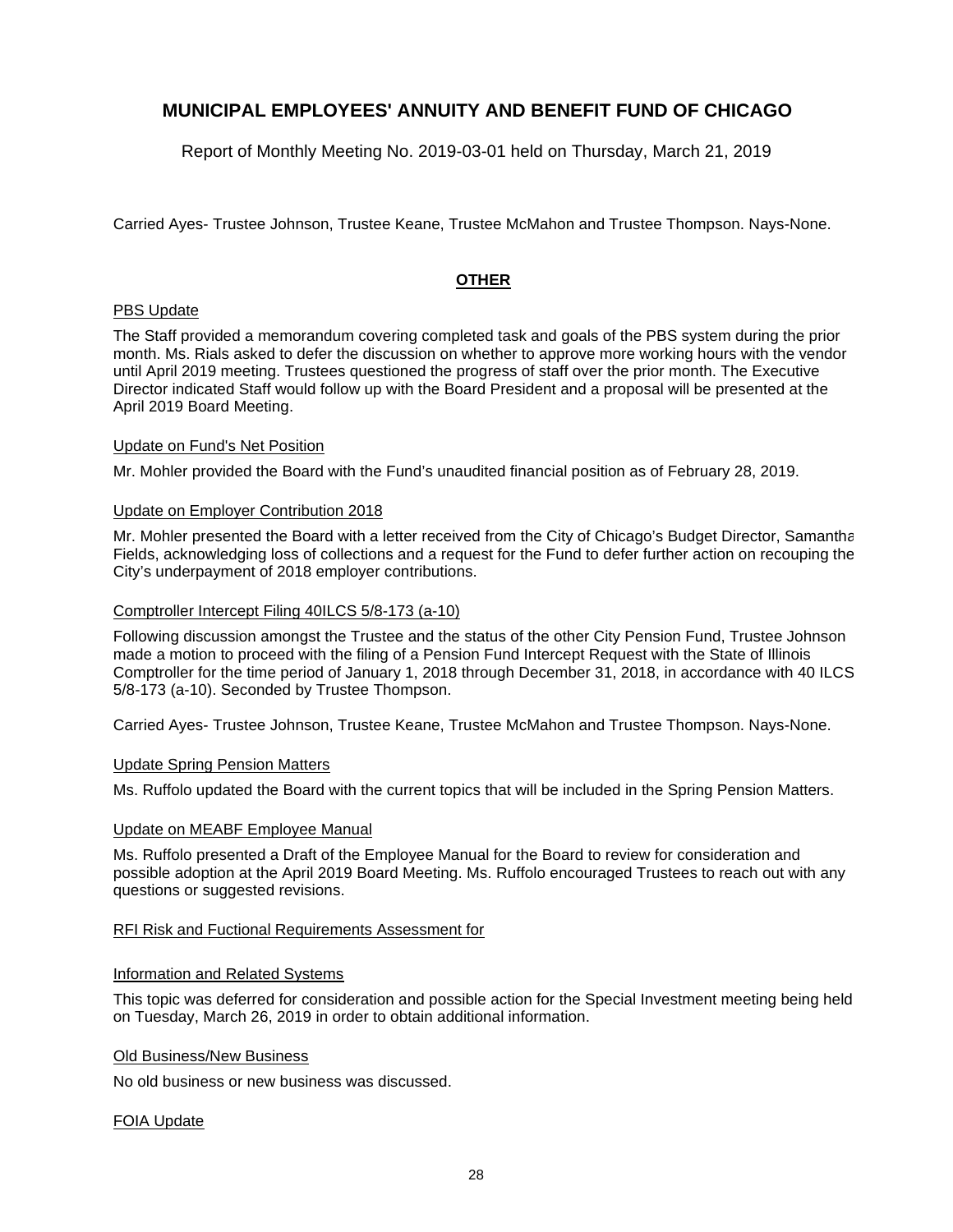Report of Monthly Meeting No. 2019-03-01 held on Thursday, March 21, 2019

Carried Ayes- Trustee Johnson, Trustee Keane, Trustee McMahon and Trustee Thompson. Nays-None.

#### **OTHER**

### PBS Update

The Staff provided a memorandum covering completed task and goals of the PBS system during the prior month. Ms. Rials asked to defer the discussion on whether to approve more working hours with the vendor until April 2019 meeting. Trustees questioned the progress of staff over the prior month. The Executive Director indicated Staff would follow up with the Board President and a proposal will be presented at the April 2019 Board Meeting.

#### Update on Fund's Net Position

Mr. Mohler provided the Board with the Fund's unaudited financial position as of February 28, 2019.

#### Update on Employer Contribution 2018

Mr. Mohler presented the Board with a letter received from the City of Chicago's Budget Director, Samantha Fields, acknowledging loss of collections and a request for the Fund to defer further action on recouping the City's underpayment of 2018 employer contributions.

#### Comptroller Intercept Filing 40ILCS 5/8-173 (a-10)

Following discussion amongst the Trustee and the status of the other City Pension Fund, Trustee Johnson made a motion to proceed with the filing of a Pension Fund Intercept Request with the State of Illinois Comptroller for the time period of January 1, 2018 through December 31, 2018, in accordance with 40 ILCS 5/8-173 (a-10). Seconded by Trustee Thompson.

Carried Ayes- Trustee Johnson, Trustee Keane, Trustee McMahon and Trustee Thompson. Nays-None.

#### Update Spring Pension Matters

Ms. Ruffolo updated the Board with the current topics that will be included in the Spring Pension Matters.

#### Update on MEABF Employee Manual

Ms. Ruffolo presented a Draft of the Employee Manual for the Board to review for consideration and possible adoption at the April 2019 Board Meeting. Ms. Ruffolo encouraged Trustees to reach out with any questions or suggested revisions.

#### RFI Risk and Fuctional Requirements Assessment for

#### Information and Related Systems

This topic was deferred for consideration and possible action for the Special Investment meeting being held on Tuesday, March 26, 2019 in order to obtain additional information.

#### Old Business/New Business

No old business or new business was discussed.

#### FOIA Update